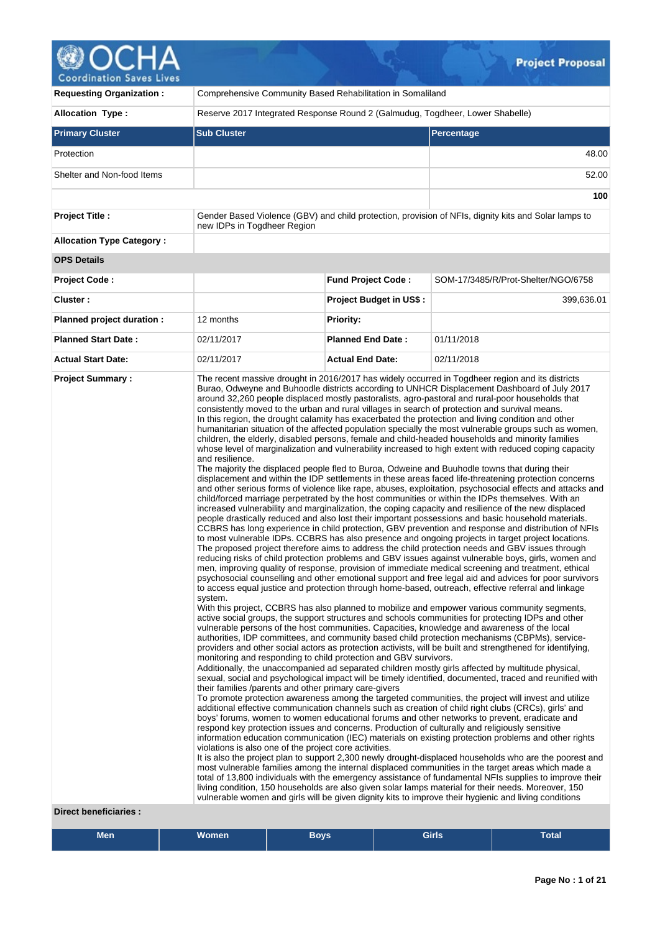# **@OCHA**

| Containation bases Fises                                |                                                                                                                                                                                                                   |                                |                                                                                                                                                                                                                                                                                                                                                                                                                                                                                                                                                                                                                                                                                                                                                                                                                                                                                                                                                                                                                                                                                                                                                                                                                                                                                                                                                                                                                                                                                                                                                                                                                                                                                                                                                                                                                                                                                                                                                                                                                                                                                                                                                                                                                                                                                                                                                                                                                                                                                                                                                                                                                                                                                                                                                                                                                                                                                                                                                                                                                                                                                                                                                                                                                                                                                                                                                                                                                                                                                                                                                                                                                                                                                                                                                                                                                                                                                                                                                                                                                                               |  |  |  |  |
|---------------------------------------------------------|-------------------------------------------------------------------------------------------------------------------------------------------------------------------------------------------------------------------|--------------------------------|-----------------------------------------------------------------------------------------------------------------------------------------------------------------------------------------------------------------------------------------------------------------------------------------------------------------------------------------------------------------------------------------------------------------------------------------------------------------------------------------------------------------------------------------------------------------------------------------------------------------------------------------------------------------------------------------------------------------------------------------------------------------------------------------------------------------------------------------------------------------------------------------------------------------------------------------------------------------------------------------------------------------------------------------------------------------------------------------------------------------------------------------------------------------------------------------------------------------------------------------------------------------------------------------------------------------------------------------------------------------------------------------------------------------------------------------------------------------------------------------------------------------------------------------------------------------------------------------------------------------------------------------------------------------------------------------------------------------------------------------------------------------------------------------------------------------------------------------------------------------------------------------------------------------------------------------------------------------------------------------------------------------------------------------------------------------------------------------------------------------------------------------------------------------------------------------------------------------------------------------------------------------------------------------------------------------------------------------------------------------------------------------------------------------------------------------------------------------------------------------------------------------------------------------------------------------------------------------------------------------------------------------------------------------------------------------------------------------------------------------------------------------------------------------------------------------------------------------------------------------------------------------------------------------------------------------------------------------------------------------------------------------------------------------------------------------------------------------------------------------------------------------------------------------------------------------------------------------------------------------------------------------------------------------------------------------------------------------------------------------------------------------------------------------------------------------------------------------------------------------------------------------------------------------------------------------------------------------------------------------------------------------------------------------------------------------------------------------------------------------------------------------------------------------------------------------------------------------------------------------------------------------------------------------------------------------------------------------------------------------------------------------------------------------------|--|--|--|--|
| <b>Requesting Organization:</b>                         | Comprehensive Community Based Rehabilitation in Somaliland                                                                                                                                                        |                                |                                                                                                                                                                                                                                                                                                                                                                                                                                                                                                                                                                                                                                                                                                                                                                                                                                                                                                                                                                                                                                                                                                                                                                                                                                                                                                                                                                                                                                                                                                                                                                                                                                                                                                                                                                                                                                                                                                                                                                                                                                                                                                                                                                                                                                                                                                                                                                                                                                                                                                                                                                                                                                                                                                                                                                                                                                                                                                                                                                                                                                                                                                                                                                                                                                                                                                                                                                                                                                                                                                                                                                                                                                                                                                                                                                                                                                                                                                                                                                                                                                               |  |  |  |  |
| <b>Allocation Type:</b>                                 | Reserve 2017 Integrated Response Round 2 (Galmudug, Togdheer, Lower Shabelle)                                                                                                                                     |                                |                                                                                                                                                                                                                                                                                                                                                                                                                                                                                                                                                                                                                                                                                                                                                                                                                                                                                                                                                                                                                                                                                                                                                                                                                                                                                                                                                                                                                                                                                                                                                                                                                                                                                                                                                                                                                                                                                                                                                                                                                                                                                                                                                                                                                                                                                                                                                                                                                                                                                                                                                                                                                                                                                                                                                                                                                                                                                                                                                                                                                                                                                                                                                                                                                                                                                                                                                                                                                                                                                                                                                                                                                                                                                                                                                                                                                                                                                                                                                                                                                                               |  |  |  |  |
| <b>Primary Cluster</b>                                  | <b>Sub Cluster</b>                                                                                                                                                                                                |                                | Percentage                                                                                                                                                                                                                                                                                                                                                                                                                                                                                                                                                                                                                                                                                                                                                                                                                                                                                                                                                                                                                                                                                                                                                                                                                                                                                                                                                                                                                                                                                                                                                                                                                                                                                                                                                                                                                                                                                                                                                                                                                                                                                                                                                                                                                                                                                                                                                                                                                                                                                                                                                                                                                                                                                                                                                                                                                                                                                                                                                                                                                                                                                                                                                                                                                                                                                                                                                                                                                                                                                                                                                                                                                                                                                                                                                                                                                                                                                                                                                                                                                                    |  |  |  |  |
| Protection                                              |                                                                                                                                                                                                                   |                                | 48.00                                                                                                                                                                                                                                                                                                                                                                                                                                                                                                                                                                                                                                                                                                                                                                                                                                                                                                                                                                                                                                                                                                                                                                                                                                                                                                                                                                                                                                                                                                                                                                                                                                                                                                                                                                                                                                                                                                                                                                                                                                                                                                                                                                                                                                                                                                                                                                                                                                                                                                                                                                                                                                                                                                                                                                                                                                                                                                                                                                                                                                                                                                                                                                                                                                                                                                                                                                                                                                                                                                                                                                                                                                                                                                                                                                                                                                                                                                                                                                                                                                         |  |  |  |  |
| Shelter and Non-food Items                              |                                                                                                                                                                                                                   |                                | 52.00                                                                                                                                                                                                                                                                                                                                                                                                                                                                                                                                                                                                                                                                                                                                                                                                                                                                                                                                                                                                                                                                                                                                                                                                                                                                                                                                                                                                                                                                                                                                                                                                                                                                                                                                                                                                                                                                                                                                                                                                                                                                                                                                                                                                                                                                                                                                                                                                                                                                                                                                                                                                                                                                                                                                                                                                                                                                                                                                                                                                                                                                                                                                                                                                                                                                                                                                                                                                                                                                                                                                                                                                                                                                                                                                                                                                                                                                                                                                                                                                                                         |  |  |  |  |
|                                                         |                                                                                                                                                                                                                   |                                | 100                                                                                                                                                                                                                                                                                                                                                                                                                                                                                                                                                                                                                                                                                                                                                                                                                                                                                                                                                                                                                                                                                                                                                                                                                                                                                                                                                                                                                                                                                                                                                                                                                                                                                                                                                                                                                                                                                                                                                                                                                                                                                                                                                                                                                                                                                                                                                                                                                                                                                                                                                                                                                                                                                                                                                                                                                                                                                                                                                                                                                                                                                                                                                                                                                                                                                                                                                                                                                                                                                                                                                                                                                                                                                                                                                                                                                                                                                                                                                                                                                                           |  |  |  |  |
| <b>Project Title:</b>                                   | new IDPs in Togdheer Region                                                                                                                                                                                       |                                | Gender Based Violence (GBV) and child protection, provision of NFIs, dignity kits and Solar lamps to                                                                                                                                                                                                                                                                                                                                                                                                                                                                                                                                                                                                                                                                                                                                                                                                                                                                                                                                                                                                                                                                                                                                                                                                                                                                                                                                                                                                                                                                                                                                                                                                                                                                                                                                                                                                                                                                                                                                                                                                                                                                                                                                                                                                                                                                                                                                                                                                                                                                                                                                                                                                                                                                                                                                                                                                                                                                                                                                                                                                                                                                                                                                                                                                                                                                                                                                                                                                                                                                                                                                                                                                                                                                                                                                                                                                                                                                                                                                          |  |  |  |  |
| <b>Allocation Type Category:</b>                        |                                                                                                                                                                                                                   |                                |                                                                                                                                                                                                                                                                                                                                                                                                                                                                                                                                                                                                                                                                                                                                                                                                                                                                                                                                                                                                                                                                                                                                                                                                                                                                                                                                                                                                                                                                                                                                                                                                                                                                                                                                                                                                                                                                                                                                                                                                                                                                                                                                                                                                                                                                                                                                                                                                                                                                                                                                                                                                                                                                                                                                                                                                                                                                                                                                                                                                                                                                                                                                                                                                                                                                                                                                                                                                                                                                                                                                                                                                                                                                                                                                                                                                                                                                                                                                                                                                                                               |  |  |  |  |
| <b>OPS Details</b>                                      |                                                                                                                                                                                                                   |                                |                                                                                                                                                                                                                                                                                                                                                                                                                                                                                                                                                                                                                                                                                                                                                                                                                                                                                                                                                                                                                                                                                                                                                                                                                                                                                                                                                                                                                                                                                                                                                                                                                                                                                                                                                                                                                                                                                                                                                                                                                                                                                                                                                                                                                                                                                                                                                                                                                                                                                                                                                                                                                                                                                                                                                                                                                                                                                                                                                                                                                                                                                                                                                                                                                                                                                                                                                                                                                                                                                                                                                                                                                                                                                                                                                                                                                                                                                                                                                                                                                                               |  |  |  |  |
| <b>Project Code:</b>                                    |                                                                                                                                                                                                                   | <b>Fund Project Code:</b>      | SOM-17/3485/R/Prot-Shelter/NGO/6758                                                                                                                                                                                                                                                                                                                                                                                                                                                                                                                                                                                                                                                                                                                                                                                                                                                                                                                                                                                                                                                                                                                                                                                                                                                                                                                                                                                                                                                                                                                                                                                                                                                                                                                                                                                                                                                                                                                                                                                                                                                                                                                                                                                                                                                                                                                                                                                                                                                                                                                                                                                                                                                                                                                                                                                                                                                                                                                                                                                                                                                                                                                                                                                                                                                                                                                                                                                                                                                                                                                                                                                                                                                                                                                                                                                                                                                                                                                                                                                                           |  |  |  |  |
| Cluster:                                                |                                                                                                                                                                                                                   | <b>Project Budget in US\$:</b> | 399,636.01                                                                                                                                                                                                                                                                                                                                                                                                                                                                                                                                                                                                                                                                                                                                                                                                                                                                                                                                                                                                                                                                                                                                                                                                                                                                                                                                                                                                                                                                                                                                                                                                                                                                                                                                                                                                                                                                                                                                                                                                                                                                                                                                                                                                                                                                                                                                                                                                                                                                                                                                                                                                                                                                                                                                                                                                                                                                                                                                                                                                                                                                                                                                                                                                                                                                                                                                                                                                                                                                                                                                                                                                                                                                                                                                                                                                                                                                                                                                                                                                                                    |  |  |  |  |
| Planned project duration :                              | 12 months                                                                                                                                                                                                         | Priority:                      |                                                                                                                                                                                                                                                                                                                                                                                                                                                                                                                                                                                                                                                                                                                                                                                                                                                                                                                                                                                                                                                                                                                                                                                                                                                                                                                                                                                                                                                                                                                                                                                                                                                                                                                                                                                                                                                                                                                                                                                                                                                                                                                                                                                                                                                                                                                                                                                                                                                                                                                                                                                                                                                                                                                                                                                                                                                                                                                                                                                                                                                                                                                                                                                                                                                                                                                                                                                                                                                                                                                                                                                                                                                                                                                                                                                                                                                                                                                                                                                                                                               |  |  |  |  |
| <b>Planned Start Date:</b>                              | 02/11/2017                                                                                                                                                                                                        | <b>Planned End Date:</b>       | 01/11/2018                                                                                                                                                                                                                                                                                                                                                                                                                                                                                                                                                                                                                                                                                                                                                                                                                                                                                                                                                                                                                                                                                                                                                                                                                                                                                                                                                                                                                                                                                                                                                                                                                                                                                                                                                                                                                                                                                                                                                                                                                                                                                                                                                                                                                                                                                                                                                                                                                                                                                                                                                                                                                                                                                                                                                                                                                                                                                                                                                                                                                                                                                                                                                                                                                                                                                                                                                                                                                                                                                                                                                                                                                                                                                                                                                                                                                                                                                                                                                                                                                                    |  |  |  |  |
| <b>Actual Start Date:</b>                               | 02/11/2017                                                                                                                                                                                                        | <b>Actual End Date:</b>        | 02/11/2018                                                                                                                                                                                                                                                                                                                                                                                                                                                                                                                                                                                                                                                                                                                                                                                                                                                                                                                                                                                                                                                                                                                                                                                                                                                                                                                                                                                                                                                                                                                                                                                                                                                                                                                                                                                                                                                                                                                                                                                                                                                                                                                                                                                                                                                                                                                                                                                                                                                                                                                                                                                                                                                                                                                                                                                                                                                                                                                                                                                                                                                                                                                                                                                                                                                                                                                                                                                                                                                                                                                                                                                                                                                                                                                                                                                                                                                                                                                                                                                                                                    |  |  |  |  |
| <b>Project Summary:</b><br><b>Direct beneficiaries:</b> | and resilience.<br>system.<br>monitoring and responding to child protection and GBV survivors.<br>their families /parents and other primary care-givers<br>violations is also one of the project core activities. |                                | The recent massive drought in 2016/2017 has widely occurred in Togdheer region and its districts<br>Burao, Odweyne and Buhoodle districts according to UNHCR Displacement Dashboard of July 2017<br>around 32,260 people displaced mostly pastoralists, agro-pastoral and rural-poor households that<br>consistently moved to the urban and rural villages in search of protection and survival means.<br>In this region, the drought calamity has exacerbated the protection and living condition and other<br>humanitarian situation of the affected population specially the most vulnerable groups such as women,<br>children, the elderly, disabled persons, female and child-headed households and minority families<br>whose level of marginalization and vulnerability increased to high extent with reduced coping capacity<br>The majority the displaced people fled to Buroa, Odweine and Buuhodle towns that during their<br>displacement and within the IDP settlements in these areas faced life-threatening protection concerns<br>and other serious forms of violence like rape, abuses, exploitation, psychosocial effects and attacks and<br>child/forced marriage perpetrated by the host communities or within the IDPs themselves. With an<br>increased vulnerability and marginalization, the coping capacity and resilience of the new displaced<br>people drastically reduced and also lost their important possessions and basic household materials.<br>CCBRS has long experience in child protection, GBV prevention and response and distribution of NFIs<br>to most vulnerable IDPs. CCBRS has also presence and ongoing projects in target project locations.<br>The proposed project therefore aims to address the child protection needs and GBV issues through<br>reducing risks of child protection problems and GBV issues against vulnerable boys, girls, women and<br>men, improving quality of response, provision of immediate medical screening and treatment, ethical<br>psychosocial counselling and other emotional support and free legal aid and advices for poor survivors<br>to access equal justice and protection through home-based, outreach, effective referral and linkage<br>With this project, CCBRS has also planned to mobilize and empower various community segments,<br>active social groups, the support structures and schools communities for protecting IDPs and other<br>vulnerable persons of the host communities. Capacities, knowledge and awareness of the local<br>authorities, IDP committees, and community based child protection mechanisms (CBPMs), service-<br>providers and other social actors as protection activists, will be built and strengthened for identifying,<br>Additionally, the unaccompanied ad separated children mostly girls affected by multitude physical,<br>sexual, social and psychological impact will be timely identified, documented, traced and reunified with<br>To promote protection awareness among the targeted communities, the project will invest and utilize<br>additional effective communication channels such as creation of child right clubs (CRCs), girls' and<br>boys' forums, women to women educational forums and other networks to prevent, eradicate and<br>respond key protection issues and concerns. Production of culturally and religiously sensitive<br>information education communication (IEC) materials on existing protection problems and other rights<br>It is also the project plan to support 2,300 newly drought-displaced households who are the poorest and<br>most vulnerable families among the internal displaced communities in the target areas which made a<br>total of 13,800 individuals with the emergency assistance of fundamental NFIs supplies to improve their<br>living condition, 150 households are also given solar lamps material for their needs. Moreover, 150<br>vulnerable women and girls will be given dignity kits to improve their hygienic and living conditions |  |  |  |  |

| Men | <b>Women</b> | <b>Boys</b> | <b>Girls</b> | Total |
|-----|--------------|-------------|--------------|-------|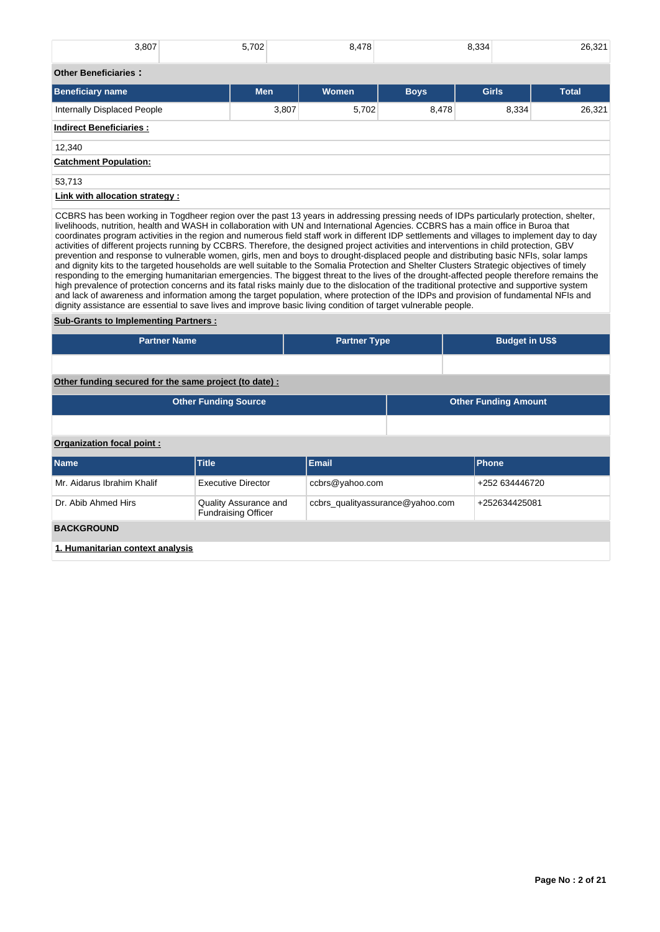| 3,807                                 | 5,702      | 8,478        |             | 8,334        | 26,321       |  |  |
|---------------------------------------|------------|--------------|-------------|--------------|--------------|--|--|
| <b>Other Beneficiaries:</b>           |            |              |             |              |              |  |  |
| <b>Beneficiary name</b>               | <b>Men</b> | <b>Women</b> | <b>Boys</b> | <b>Girls</b> | <b>Total</b> |  |  |
| <b>Internally Displaced People</b>    | 3,807      | 5,702        | 8,478       | 8,334        | 26,321       |  |  |
| <b>Indirect Beneficiaries:</b>        |            |              |             |              |              |  |  |
| 12,340                                |            |              |             |              |              |  |  |
| <b>Catchment Population:</b>          |            |              |             |              |              |  |  |
| 53,713                                |            |              |             |              |              |  |  |
| <b>Link with allocation strategy:</b> |            |              |             |              |              |  |  |

CCBRS has been working in Togdheer region over the past 13 years in addressing pressing needs of IDPs particularly protection, shelter, livelihoods, nutrition, health and WASH in collaboration with UN and International Agencies. CCBRS has a main office in Buroa that coordinates program activities in the region and numerous field staff work in different IDP settlements and villages to implement day to day activities of different projects running by CCBRS. Therefore, the designed project activities and interventions in child protection, GBV prevention and response to vulnerable women, girls, men and boys to drought-displaced people and distributing basic NFIs, solar lamps and dignity kits to the targeted households are well suitable to the Somalia Protection and Shelter Clusters Strategic objectives of timely responding to the emerging humanitarian emergencies. The biggest threat to the lives of the drought-affected people therefore remains the high prevalence of protection concerns and its fatal risks mainly due to the dislocation of the traditional protective and supportive system and lack of awareness and information among the target population, where protection of the IDPs and provision of fundamental NFIs and dignity assistance are essential to save lives and improve basic living condition of target vulnerable people.

# **Sub-Grants to Implementing Partners :**

| <b>Partner Name</b>                                   |                                                     | <b>Partner Type</b>              |  | <b>Budget in US\$</b>       |  |  |  |  |  |  |
|-------------------------------------------------------|-----------------------------------------------------|----------------------------------|--|-----------------------------|--|--|--|--|--|--|
|                                                       |                                                     |                                  |  |                             |  |  |  |  |  |  |
| Other funding secured for the same project (to date): |                                                     |                                  |  |                             |  |  |  |  |  |  |
|                                                       | <b>Other Funding Source</b>                         |                                  |  | <b>Other Funding Amount</b> |  |  |  |  |  |  |
|                                                       |                                                     |                                  |  |                             |  |  |  |  |  |  |
| Organization focal point:                             |                                                     |                                  |  |                             |  |  |  |  |  |  |
| <b>Name</b>                                           | <b>Title</b>                                        | <b>Email</b>                     |  | Phone                       |  |  |  |  |  |  |
| Mr. Aidarus Ibrahim Khalif                            | <b>Executive Director</b>                           | ccbrs@yahoo.com                  |  | +252 634446720              |  |  |  |  |  |  |
| Dr. Abib Ahmed Hirs                                   | Quality Assurance and<br><b>Fundraising Officer</b> | ccbrs_qualityassurance@yahoo.com |  | +252634425081               |  |  |  |  |  |  |
| <b>BACKGROUND</b>                                     |                                                     |                                  |  |                             |  |  |  |  |  |  |
| 1. Humanitarian context analysis                      |                                                     |                                  |  |                             |  |  |  |  |  |  |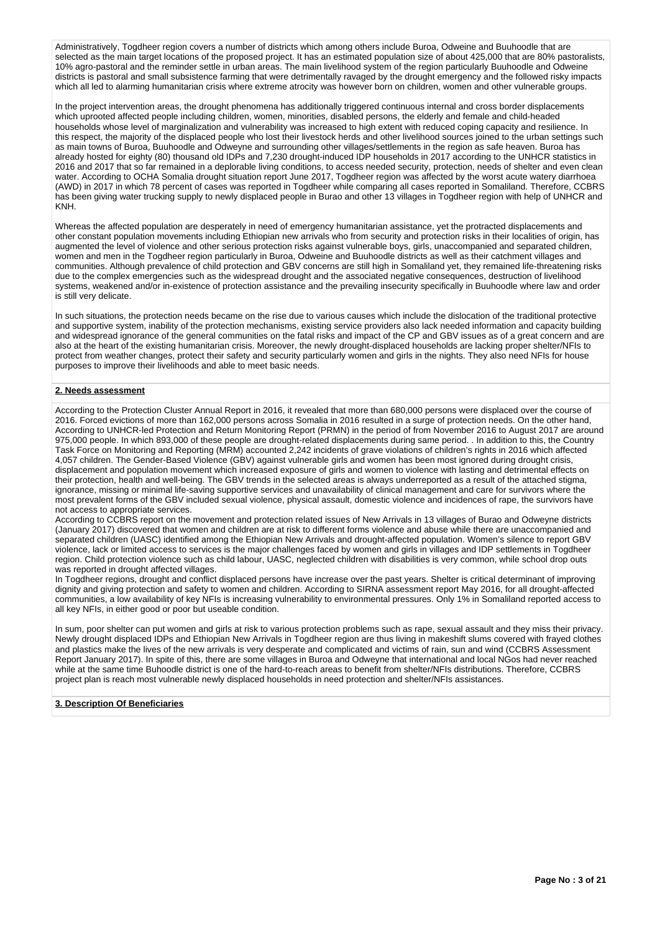Administratively, Togdheer region covers a number of districts which among others include Buroa, Odweine and Buuhoodle that are selected as the main target locations of the proposed project. It has an estimated population size of about 425,000 that are 80% pastoralists. 10% agro-pastoral and the reminder settle in urban areas. The main livelihood system of the region particularly Buuhoodle and Odweine districts is pastoral and small subsistence farming that were detrimentally ravaged by the drought emergency and the followed risky impacts which all led to alarming humanitarian crisis where extreme atrocity was however born on children, women and other vulnerable groups.

In the project intervention areas, the drought phenomena has additionally triggered continuous internal and cross border displacements which uprooted affected people including children, women, minorities, disabled persons, the elderly and female and child-headed households whose level of marginalization and vulnerability was increased to high extent with reduced coping capacity and resilience. In this respect, the majority of the displaced people who lost their livestock herds and other livelihood sources joined to the urban settings such as main towns of Buroa, Buuhoodle and Odweyne and surrounding other villages/settlements in the region as safe heaven. Buroa has already hosted for eighty (80) thousand old IDPs and 7,230 drought-induced IDP households in 2017 according to the UNHCR statistics in 2016 and 2017 that so far remained in a deplorable living conditions, to access needed security, protection, needs of shelter and even clean water. According to OCHA Somalia drought situation report June 2017, Togdheer region was affected by the worst acute watery diarrhoea (AWD) in 2017 in which 78 percent of cases was reported in Togdheer while comparing all cases reported in Somaliland. Therefore, CCBRS has been giving water trucking supply to newly displaced people in Burao and other 13 villages in Togdheer region with help of UNHCR and KNH.

Whereas the affected population are desperately in need of emergency humanitarian assistance, yet the protracted displacements and other constant population movements including Ethiopian new arrivals who from security and protection risks in their localities of origin, has augmented the level of violence and other serious protection risks against vulnerable boys, girls, unaccompanied and separated children, women and men in the Togdheer region particularly in Buroa, Odweine and Buuhoodle districts as well as their catchment villages and communities. Although prevalence of child protection and GBV concerns are still high in Somaliland yet, they remained life-threatening risks due to the complex emergencies such as the widespread drought and the associated negative consequences, destruction of livelihood systems, weakened and/or in-existence of protection assistance and the prevailing insecurity specifically in Buuhoodle where law and order is still very delicate.

In such situations, the protection needs became on the rise due to various causes which include the dislocation of the traditional protective and supportive system, inability of the protection mechanisms, existing service providers also lack needed information and capacity building and widespread ignorance of the general communities on the fatal risks and impact of the CP and GBV issues as of a great concern and are also at the heart of the existing humanitarian crisis. Moreover, the newly drought-displaced households are lacking proper shelter/NFIs to protect from weather changes, protect their safety and security particularly women and girls in the nights. They also need NFIs for house purposes to improve their livelihoods and able to meet basic needs.

## **2. Needs assessment**

According to the Protection Cluster Annual Report in 2016, it revealed that more than 680,000 persons were displaced over the course of 2016. Forced evictions of more than 162,000 persons across Somalia in 2016 resulted in a surge of protection needs. On the other hand, According to UNHCR-led Protection and Return Monitoring Report (PRMN) in the period of from November 2016 to August 2017 are around 975,000 people. In which 893,000 of these people are drought-related displacements during same period. . In addition to this, the Country Task Force on Monitoring and Reporting (MRM) accounted 2,242 incidents of grave violations of children's rights in 2016 which affected 4,057 children. The Gender-Based Violence (GBV) against vulnerable girls and women has been most ignored during drought crisis, displacement and population movement which increased exposure of girls and women to violence with lasting and detrimental effects on their protection, health and well-being. The GBV trends in the selected areas is always underreported as a result of the attached stigma, ignorance, missing or minimal life-saving supportive services and unavailability of clinical management and care for survivors where the most prevalent forms of the GBV included sexual violence, physical assault, domestic violence and incidences of rape, the survivors have not access to appropriate services.

According to CCBRS report on the movement and protection related issues of New Arrivals in 13 villages of Burao and Odweyne districts (January 2017) discovered that women and children are at risk to different forms violence and abuse while there are unaccompanied and separated children (UASC) identified among the Ethiopian New Arrivals and drought-affected population. Women's silence to report GBV violence, lack or limited access to services is the major challenges faced by women and girls in villages and IDP settlements in Togdheer region. Child protection violence such as child labour, UASC, neglected children with disabilities is very common, while school drop outs was reported in drought affected villages.

In Togdheer regions, drought and conflict displaced persons have increase over the past years. Shelter is critical determinant of improving dignity and giving protection and safety to women and children. According to SIRNA assessment report May 2016, for all drought-affected communities, a low availability of key NFIs is increasing vulnerability to environmental pressures. Only 1% in Somaliland reported access to all key NFIs, in either good or poor but useable condition.

In sum, poor shelter can put women and girls at risk to various protection problems such as rape, sexual assault and they miss their privacy. Newly drought displaced IDPs and Ethiopian New Arrivals in Togdheer region are thus living in makeshift slums covered with frayed clothes and plastics make the lives of the new arrivals is very desperate and complicated and victims of rain, sun and wind (CCBRS Assessment Report January 2017). In spite of this, there are some villages in Buroa and Odweyne that international and local NGos had never reached while at the same time Buhoodle district is one of the hard-to-reach areas to benefit from shelter/NFIs distributions. Therefore, CCBRS project plan is reach most vulnerable newly displaced households in need protection and shelter/NFIs assistances.

# **3. Description Of Beneficiaries**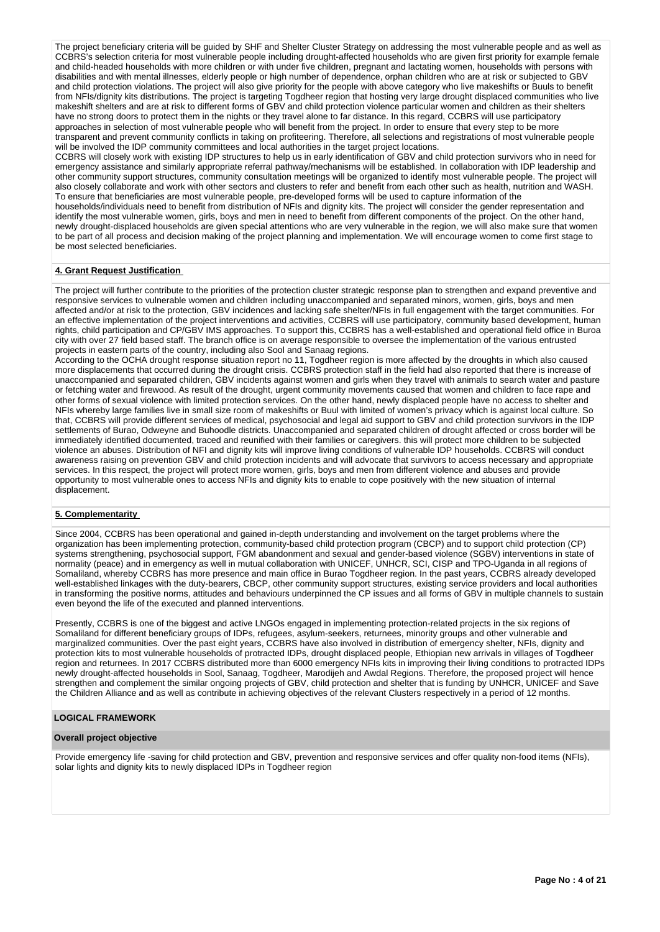The project beneficiary criteria will be guided by SHF and Shelter Cluster Strategy on addressing the most vulnerable people and as well as CCBRS's selection criteria for most vulnerable people including drought-affected households who are given first priority for example female and child-headed households with more children or with under five children, pregnant and lactating women, households with persons with disabilities and with mental illnesses, elderly people or high number of dependence, orphan children who are at risk or subjected to GBV and child protection violations. The project will also give priority for the people with above category who live makeshifts or Buuls to benefit from NFIs/dignity kits distributions. The project is targeting Togdheer region that hosting very large drought displaced communities who live makeshift shelters and are at risk to different forms of GBV and child protection violence particular women and children as their shelters have no strong doors to protect them in the nights or they travel alone to far distance. In this regard, CCBRS will use participatory approaches in selection of most vulnerable people who will benefit from the project. In order to ensure that every step to be more transparent and prevent community conflicts in taking on profiteering. Therefore, all selections and registrations of most vulnerable people will be involved the IDP community committees and local authorities in the target project locations.

CCBRS will closely work with existing IDP structures to help us in early identification of GBV and child protection survivors who in need for emergency assistance and similarly appropriate referral pathway/mechanisms will be established. In collaboration with IDP leadership and other community support structures, community consultation meetings will be organized to identify most vulnerable people. The project will also closely collaborate and work with other sectors and clusters to refer and benefit from each other such as health, nutrition and WASH. To ensure that beneficiaries are most vulnerable people, pre-developed forms will be used to capture information of the

households/individuals need to benefit from distribution of NFIs and dignity kits. The project will consider the gender representation and identify the most vulnerable women, girls, boys and men in need to benefit from different components of the project. On the other hand, newly drought-displaced households are given special attentions who are very vulnerable in the region, we will also make sure that women to be part of all process and decision making of the project planning and implementation. We will encourage women to come first stage to be most selected beneficiaries.

# **4. Grant Request Justification**

The project will further contribute to the priorities of the protection cluster strategic response plan to strengthen and expand preventive and responsive services to vulnerable women and children including unaccompanied and separated minors, women, girls, boys and men affected and/or at risk to the protection, GBV incidences and lacking safe shelter/NFIs in full engagement with the target communities. For an effective implementation of the project interventions and activities, CCBRS will use participatory, community based development, human rights, child participation and CP/GBV IMS approaches. To support this, CCBRS has a well-established and operational field office in Buroa city with over 27 field based staff. The branch office is on average responsible to oversee the implementation of the various entrusted projects in eastern parts of the country, including also Sool and Sanaag regions.

According to the OCHA drought response situation report no 11, Togdheer region is more affected by the droughts in which also caused more displacements that occurred during the drought crisis. CCBRS protection staff in the field had also reported that there is increase of unaccompanied and separated children, GBV incidents against women and girls when they travel with animals to search water and pasture or fetching water and firewood. As result of the drought, urgent community movements caused that women and children to face rape and other forms of sexual violence with limited protection services. On the other hand, newly displaced people have no access to shelter and NFIs whereby large families live in small size room of makeshifts or Buul with limited of women's privacy which is against local culture. So that, CCBRS will provide different services of medical, psychosocial and legal aid support to GBV and child protection survivors in the IDP settlements of Burao, Odweyne and Buhoodle districts. Unaccompanied and separated children of drought affected or cross border will be immediately identified documented, traced and reunified with their families or caregivers. this will protect more children to be subjected violence an abuses. Distribution of NFI and dignity kits will improve living conditions of vulnerable IDP households. CCBRS will conduct awareness raising on prevention GBV and child protection incidents and will advocate that survivors to access necessary and appropriate services. In this respect, the project will protect more women, girls, boys and men from different violence and abuses and provide opportunity to most vulnerable ones to access NFIs and dignity kits to enable to cope positively with the new situation of internal displacement.

# **5. Complementarity**

Since 2004, CCBRS has been operational and gained in-depth understanding and involvement on the target problems where the organization has been implementing protection, community-based child protection program (CBCP) and to support child protection (CP) systems strengthening, psychosocial support, FGM abandonment and sexual and gender-based violence (SGBV) interventions in state of normality (peace) and in emergency as well in mutual collaboration with UNICEF, UNHCR, SCI, CISP and TPO-Uganda in all regions of Somaliland, whereby CCBRS has more presence and main office in Burao Togdheer region. In the past years, CCBRS already developed well-established linkages with the duty-bearers, CBCP, other community support structures, existing service providers and local authorities in transforming the positive norms, attitudes and behaviours underpinned the CP issues and all forms of GBV in multiple channels to sustain even beyond the life of the executed and planned interventions.

Presently, CCBRS is one of the biggest and active LNGOs engaged in implementing protection-related projects in the six regions of Somaliland for different beneficiary groups of IDPs, refugees, asylum-seekers, returnees, minority groups and other vulnerable and marginalized communities. Over the past eight years, CCBRS have also involved in distribution of emergency shelter, NFIs, dignity and protection kits to most vulnerable households of protracted IDPs, drought displaced people, Ethiopian new arrivals in villages of Togdheer region and returnees. In 2017 CCBRS distributed more than 6000 emergency NFIs kits in improving their living conditions to protracted IDPs newly drought-affected households in Sool, Sanaag, Togdheer, Marodijeh and Awdal Regions. Therefore, the proposed project will hence strengthen and complement the similar ongoing projects of GBV, child protection and shelter that is funding by UNHCR, UNICEF and Save the Children Alliance and as well as contribute in achieving objectives of the relevant Clusters respectively in a period of 12 months.

#### **LOGICAL FRAMEWORK**

## **Overall project objective**

Provide emergency life -saving for child protection and GBV, prevention and responsive services and offer quality non-food items (NFIs), solar lights and dignity kits to newly displaced IDPs in Togdheer region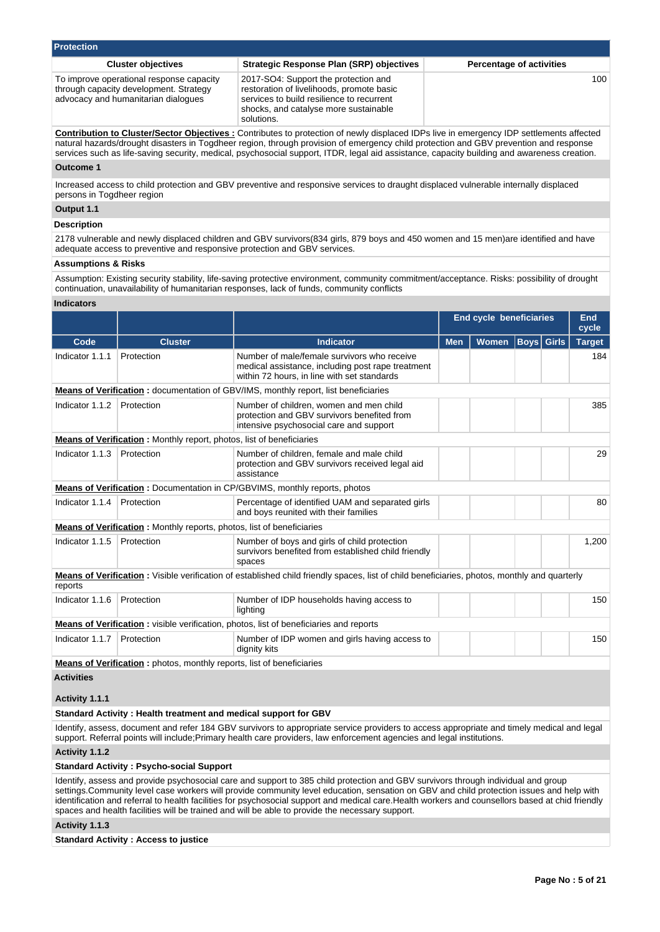| <b>Protection</b>                                                                                                         |                                                                                                                                                                                       |                                 |  |  |  |  |  |  |  |  |
|---------------------------------------------------------------------------------------------------------------------------|---------------------------------------------------------------------------------------------------------------------------------------------------------------------------------------|---------------------------------|--|--|--|--|--|--|--|--|
| <b>Cluster objectives</b>                                                                                                 | <b>Strategic Response Plan (SRP) objectives</b>                                                                                                                                       | <b>Percentage of activities</b> |  |  |  |  |  |  |  |  |
| To improve operational response capacity<br>through capacity development. Strategy<br>advocacy and humanitarian dialogues | 2017-SO4: Support the protection and<br>restoration of livelihoods, promote basic<br>services to build resilience to recurrent<br>shocks, and catalyse more sustainable<br>solutions. | 100 <sup>1</sup>                |  |  |  |  |  |  |  |  |

**Contribution to Cluster/Sector Objectives :** Contributes to protection of newly displaced IDPs live in emergency IDP settlements affected natural hazards/drought disasters in Togdheer region, through provision of emergency child protection and GBV prevention and response services such as life-saving security, medical, psychosocial support, ITDR, legal aid assistance, capacity building and awareness creation.

## **Outcome 1**

Increased access to child protection and GBV preventive and responsive services to draught displaced vulnerable internally displaced persons in Togdheer region

## **Output 1.1**

# **Description**

2178 vulnerable and newly displaced children and GBV survivors(834 girls, 879 boys and 450 women and 15 men)are identified and have adequate access to preventive and responsive protection and GBV services.

#### **Assumptions & Risks**

Assumption: Existing security stability, life-saving protective environment, community commitment/acceptance. Risks: possibility of drought continuation, unavailability of humanitarian responses, lack of funds, community conflicts

## **Indicators**

|                   |                                                                              |                                                                                                                                                 | <b>End cycle beneficiaries</b> |              |              |              | <b>End</b><br>cycle |
|-------------------|------------------------------------------------------------------------------|-------------------------------------------------------------------------------------------------------------------------------------------------|--------------------------------|--------------|--------------|--------------|---------------------|
| Code              | <b>Cluster</b>                                                               | <b>Indicator</b>                                                                                                                                | <b>Men</b>                     | <b>Women</b> | $ $ Boys $ $ | <b>Girls</b> | <b>Target</b>       |
| Indicator 1.1.1   | Protection                                                                   | Number of male/female survivors who receive<br>medical assistance, including post rape treatment<br>within 72 hours, in line with set standards |                                |              |              |              | 184                 |
|                   |                                                                              | Means of Verification: documentation of GBV/IMS, monthly report, list beneficiaries                                                             |                                |              |              |              |                     |
| Indicator 1.1.2   | Protection                                                                   | Number of children, women and men child<br>protection and GBV survivors benefited from<br>intensive psychosocial care and support               |                                |              |              |              | 385                 |
|                   | <b>Means of Verification:</b> Monthly report, photos, list of beneficiaries  |                                                                                                                                                 |                                |              |              |              |                     |
| Indicator 1.1.3   | Protection                                                                   | Number of children, female and male child<br>protection and GBV survivors received legal aid<br>assistance                                      |                                |              |              |              | 29                  |
|                   |                                                                              | <b>Means of Verification: Documentation in CP/GBVIMS, monthly reports, photos</b>                                                               |                                |              |              |              |                     |
| Indicator 1.1.4   | Protection                                                                   | Percentage of identified UAM and separated girls<br>and boys reunited with their families                                                       |                                |              |              | 80           |                     |
|                   | <b>Means of Verification:</b> Monthly reports, photos, list of beneficiaries |                                                                                                                                                 |                                |              |              |              |                     |
| Indicator 1.1.5   | Protection                                                                   | Number of boys and girls of child protection<br>survivors benefited from established child friendly<br>spaces                                   |                                |              |              |              | 1,200               |
| reports           |                                                                              | Means of Verification: Visible verification of established child friendly spaces, list of child beneficiaries, photos, monthly and quarterly    |                                |              |              |              |                     |
| Indicator 1.1.6   | Protection                                                                   | Number of IDP households having access to<br>lighting                                                                                           |                                |              |              |              | 150                 |
|                   |                                                                              | Means of Verification: visible verification, photos, list of beneficiaries and reports                                                          |                                |              |              |              |                     |
| Indicator 1.1.7   | Protection                                                                   | Number of IDP women and girls having access to<br>dignity kits                                                                                  |                                |              |              |              | 150                 |
|                   | <b>Means of Verification:</b> photos, monthly reports, list of beneficiaries |                                                                                                                                                 |                                |              |              |              |                     |
| <b>Activities</b> |                                                                              |                                                                                                                                                 |                                |              |              |              |                     |
| Activity 1.1.1    |                                                                              |                                                                                                                                                 |                                |              |              |              |                     |

#### **Standard Activity : Health treatment and medical support for GBV**

Identify, assess, document and refer 184 GBV survivors to appropriate service providers to access appropriate and timely medical and legal support. Referral points will include;Primary health care providers, law enforcement agencies and legal institutions.

## **Activity 1.1.2**

#### **Standard Activity : Psycho-social Support**

Identify, assess and provide psychosocial care and support to 385 child protection and GBV survivors through individual and group settings.Community level case workers will provide community level education, sensation on GBV and child protection issues and help with identification and referral to health facilities for psychosocial support and medical care.Health workers and counsellors based at chid friendly spaces and health facilities will be trained and will be able to provide the necessary support.

# **Activity 1.1.3**

**Standard Activity : Access to justice**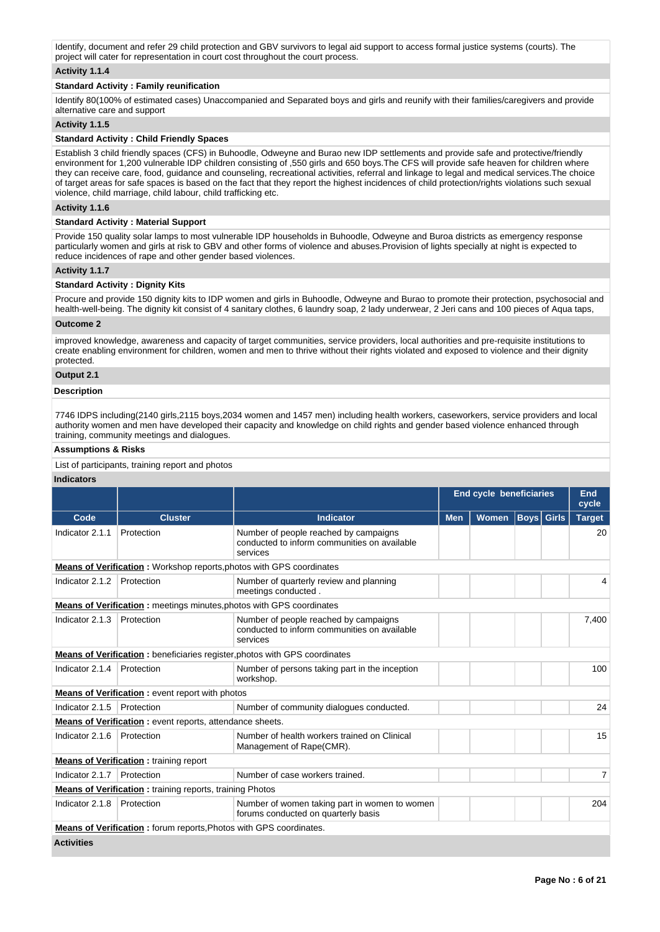Identify, document and refer 29 child protection and GBV survivors to legal aid support to access formal justice systems (courts). The project will cater for representation in court cost throughout the court process.

# **Activity 1.1.4**

## **Standard Activity : Family reunification**

Identify 80(100% of estimated cases) Unaccompanied and Separated boys and girls and reunify with their families/caregivers and provide alternative care and support

# **Activity 1.1.5**

# **Standard Activity : Child Friendly Spaces**

Establish 3 child friendly spaces (CFS) in Buhoodle, Odweyne and Burao new IDP settlements and provide safe and protective/friendly environment for 1,200 vulnerable IDP children consisting of ,550 girls and 650 boys.The CFS will provide safe heaven for children where they can receive care, food, guidance and counseling, recreational activities, referral and linkage to legal and medical services.The choice of target areas for safe spaces is based on the fact that they report the highest incidences of child protection/rights violations such sexual violence, child marriage, child labour, child trafficking etc.

## **Activity 1.1.6**

## **Standard Activity : Material Support**

Provide 150 quality solar lamps to most vulnerable IDP households in Buhoodle, Odweyne and Buroa districts as emergency response particularly women and girls at risk to GBV and other forms of violence and abuses.Provision of lights specially at night is expected to reduce incidences of rape and other gender based violences.

# **Activity 1.1.7**

# **Standard Activity : Dignity Kits**

Procure and provide 150 dignity kits to IDP women and girls in Buhoodle, Odweyne and Burao to promote their protection, psychosocial and health-well-being. The dignity kit consist of 4 sanitary clothes, 6 laundry soap, 2 lady underwear, 2 Jeri cans and 100 pieces of Aqua taps,

# **Outcome 2**

improved knowledge, awareness and capacity of target communities, service providers, local authorities and pre-requisite institutions to create enabling environment for children, women and men to thrive without their rights violated and exposed to violence and their dignity protected.

## **Output 2.1**

## **Description**

7746 IDPS including(2140 girls,2115 boys,2034 women and 1457 men) including health workers, caseworkers, service providers and local authority women and men have developed their capacity and knowledge on child rights and gender based violence enhanced through training, community meetings and dialogues.

## **Assumptions & Risks**

List of participants, training report and photos

## **Indicators**

|                   |                                                                      |                                                                                                   | <b>End cycle beneficiaries</b> |              |                   | End<br>cycle |               |
|-------------------|----------------------------------------------------------------------|---------------------------------------------------------------------------------------------------|--------------------------------|--------------|-------------------|--------------|---------------|
| Code              | <b>Cluster</b>                                                       | <b>Indicator</b>                                                                                  | <b>Men</b>                     | <b>Women</b> | <b>Boys</b> Girls |              | <b>Target</b> |
| Indicator 2.1.1   | Protection                                                           | Number of people reached by campaigns<br>conducted to inform communities on available<br>services |                                |              |                   |              | 20            |
|                   | Means of Verification: Workshop reports, photos with GPS coordinates |                                                                                                   |                                |              |                   |              |               |
| Indicator 2.1.2   | Protection                                                           | Number of quarterly review and planning<br>meetings conducted.                                    |                                |              |                   |              |               |
|                   | Means of Verification: meetings minutes, photos with GPS coordinates |                                                                                                   |                                |              |                   |              |               |
| Indicator 2.1.3   | Protection                                                           | Number of people reached by campaigns<br>conducted to inform communities on available<br>services |                                |              |                   |              | 7,400         |
|                   |                                                                      | <b>Means of Verification:</b> beneficiaries register, photos with GPS coordinates                 |                                |              |                   |              |               |
| Indicator 2.1.4   | Protection                                                           | Number of persons taking part in the inception<br>workshop.                                       |                                |              |                   |              | 100           |
|                   | <b>Means of Verification:</b> event report with photos               |                                                                                                   |                                |              |                   |              |               |
| Indicator 2.1.5   | Protection                                                           | Number of community dialogues conducted.                                                          |                                |              |                   |              | 24            |
|                   | <b>Means of Verification:</b> event reports, attendance sheets.      |                                                                                                   |                                |              |                   |              |               |
| Indicator 2.1.6   | Protection                                                           | Number of health workers trained on Clinical<br>Management of Rape(CMR).                          |                                |              |                   |              | 15            |
|                   | <b>Means of Verification:</b> training report                        |                                                                                                   |                                |              |                   |              |               |
| Indicator 2.1.7   | Protection                                                           | Number of case workers trained.                                                                   |                                |              |                   |              | 7             |
|                   | <b>Means of Verification:</b> training reports, training Photos      |                                                                                                   |                                |              |                   |              |               |
| Indicator 2.1.8   | Protection                                                           | Number of women taking part in women to women<br>forums conducted on quarterly basis              |                                |              |                   |              | 204           |
|                   | Means of Verification: forum reports, Photos with GPS coordinates.   |                                                                                                   |                                |              |                   |              |               |
| <b>Activities</b> |                                                                      |                                                                                                   |                                |              |                   |              |               |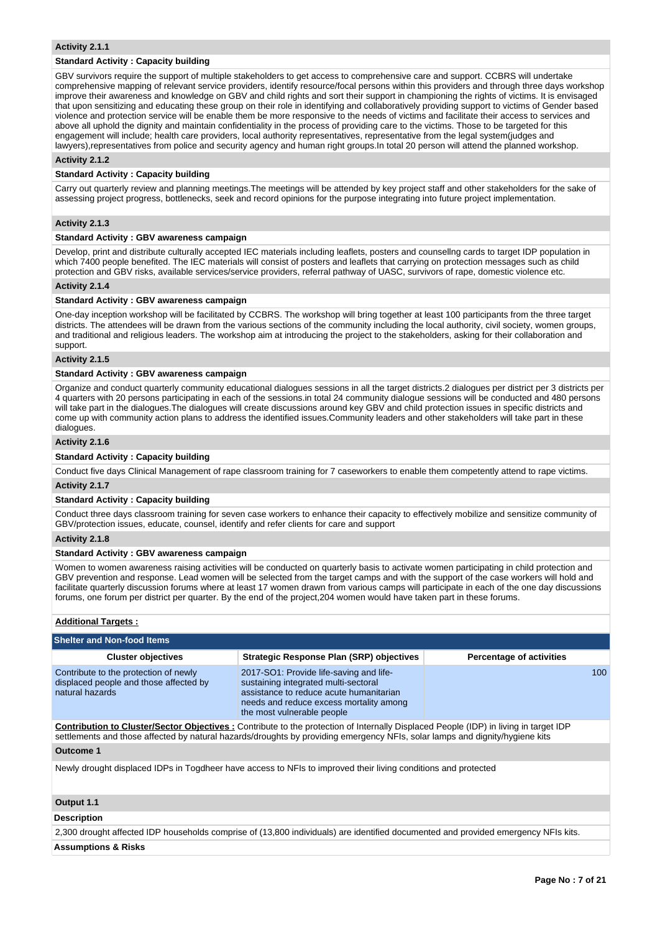## **Activity 2.1.1**

## **Standard Activity : Capacity building**

GBV survivors require the support of multiple stakeholders to get access to comprehensive care and support. CCBRS will undertake comprehensive mapping of relevant service providers, identify resource/focal persons within this providers and through three days workshop improve their awareness and knowledge on GBV and child rights and sort their support in championing the rights of victims. It is envisaged that upon sensitizing and educating these group on their role in identifying and collaboratively providing support to victims of Gender based violence and protection service will be enable them be more responsive to the needs of victims and facilitate their access to services and above all uphold the dignity and maintain confidentiality in the process of providing care to the victims. Those to be targeted for this engagement will include; health care providers, local authority representatives, representative from the legal system(judges and lawyers),representatives from police and security agency and human right groups.In total 20 person will attend the planned workshop.

## **Activity 2.1.2**

# **Standard Activity : Capacity building**

Carry out quarterly review and planning meetings.The meetings will be attended by key project staff and other stakeholders for the sake of assessing project progress, bottlenecks, seek and record opinions for the purpose integrating into future project implementation.

# **Activity 2.1.3**

## **Standard Activity : GBV awareness campaign**

Develop, print and distribute culturally accepted IEC materials including leaflets, posters and counsellng cards to target IDP population in which 7400 people benefited. The IEC materials will consist of posters and leaflets that carrying on protection messages such as child protection and GBV risks, available services/service providers, referral pathway of UASC, survivors of rape, domestic violence etc.

## **Activity 2.1.4**

#### **Standard Activity : GBV awareness campaign**

One-day inception workshop will be facilitated by CCBRS. The workshop will bring together at least 100 participants from the three target districts. The attendees will be drawn from the various sections of the community including the local authority, civil society, women groups, and traditional and religious leaders. The workshop aim at introducing the project to the stakeholders, asking for their collaboration and support.

## **Activity 2.1.5**

# **Standard Activity : GBV awareness campaign**

Organize and conduct quarterly community educational dialogues sessions in all the target districts.2 dialogues per district per 3 districts per 4 quarters with 20 persons participating in each of the sessions.in total 24 community dialogue sessions will be conducted and 480 persons will take part in the dialogues. The dialogues will create discussions around key GBV and child protection issues in specific districts and come up with community action plans to address the identified issues.Community leaders and other stakeholders will take part in these dialogues.

## **Activity 2.1.6**

#### **Standard Activity : Capacity building**

Conduct five days Clinical Management of rape classroom training for 7 caseworkers to enable them competently attend to rape victims.

## **Activity 2.1.7**

#### **Standard Activity : Capacity building**

Conduct three days classroom training for seven case workers to enhance their capacity to effectively mobilize and sensitize community of GBV/protection issues, educate, counsel, identify and refer clients for care and support

# **Activity 2.1.8**

#### **Standard Activity : GBV awareness campaign**

Women to women awareness raising activities will be conducted on quarterly basis to activate women participating in child protection and GBV prevention and response. Lead women will be selected from the target camps and with the support of the case workers will hold and facilitate quarterly discussion forums where at least 17 women drawn from various camps will participate in each of the one day discussions forums, one forum per district per quarter. By the end of the project,204 women would have taken part in these forums.

## **Additional Targets :**

| <b>Shelter and Non-food Items</b>                                                                              |                                                                                                                                                                                                                                                                             |                                 |  |  |  |  |  |  |  |
|----------------------------------------------------------------------------------------------------------------|-----------------------------------------------------------------------------------------------------------------------------------------------------------------------------------------------------------------------------------------------------------------------------|---------------------------------|--|--|--|--|--|--|--|
| <b>Cluster objectives</b>                                                                                      | <b>Strategic Response Plan (SRP) objectives</b>                                                                                                                                                                                                                             | <b>Percentage of activities</b> |  |  |  |  |  |  |  |
| Contribute to the protection of newly<br>displaced people and those affected by<br>natural hazards             | 2017-SO1: Provide life-saving and life-<br>sustaining integrated multi-sectoral<br>assistance to reduce acute humanitarian<br>needs and reduce excess mortality among<br>the most vulnerable people                                                                         | 100                             |  |  |  |  |  |  |  |
|                                                                                                                | <b>Contribution to Cluster/Sector Objectives:</b> Contribute to the protection of Internally Displaced People (IDP) in living in target IDP<br>settlements and those affected by natural hazards/droughts by providing emergency NFIs, solar lamps and dignity/hygiene kits |                                 |  |  |  |  |  |  |  |
| Outcome 1                                                                                                      |                                                                                                                                                                                                                                                                             |                                 |  |  |  |  |  |  |  |
| Newly drought displaced IDPs in Togdheer have access to NFIs to improved their living conditions and protected |                                                                                                                                                                                                                                                                             |                                 |  |  |  |  |  |  |  |
| Output 1.1                                                                                                     |                                                                                                                                                                                                                                                                             |                                 |  |  |  |  |  |  |  |

#### **Description**

2,300 drought affected IDP households comprise of (13,800 individuals) are identified documented and provided emergency NFIs kits.

**Assumptions & Risks**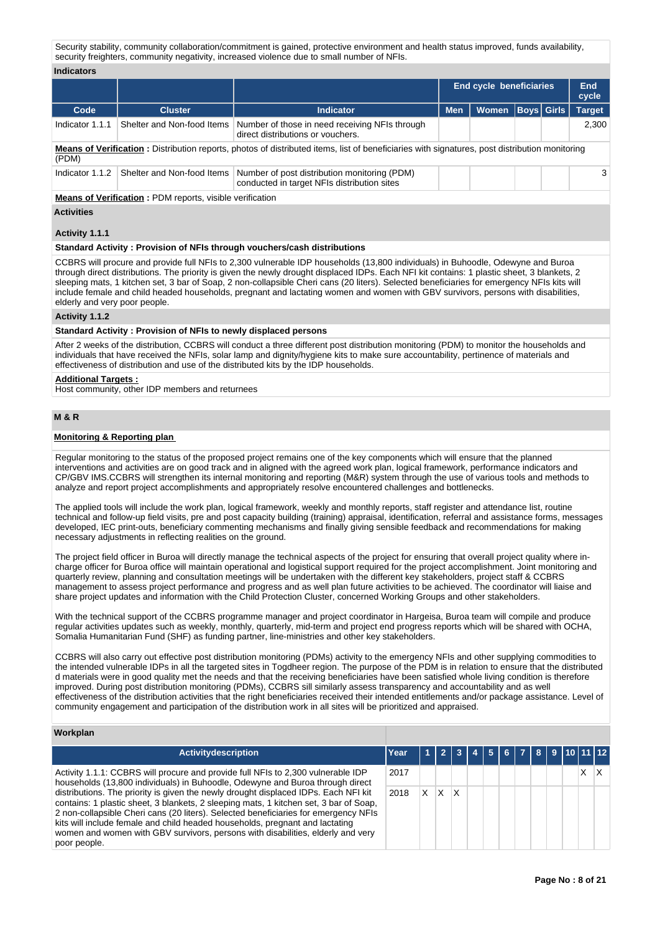Security stability, community collaboration/commitment is gained, protective environment and health status improved, funds availability, security freighters, community negativity, increased violence due to small number of NFIs.

## **Indicators**

|                                                                                                                                                               |                            |                                                                                             | <b>End cycle beneficiaries</b> |       |  |                   | End<br>cycle  |  |  |
|---------------------------------------------------------------------------------------------------------------------------------------------------------------|----------------------------|---------------------------------------------------------------------------------------------|--------------------------------|-------|--|-------------------|---------------|--|--|
| Code                                                                                                                                                          | <b>Cluster</b>             | <b>Indicator</b>                                                                            | <b>Men</b>                     | Women |  | <b>Boys</b> Girls | <b>Target</b> |  |  |
| Indicator 1.1.1                                                                                                                                               | Shelter and Non-food Items | Number of those in need receiving NFIs through<br>direct distributions or vouchers.         |                                |       |  |                   | 2.300         |  |  |
| <b>Means of Verification:</b> Distribution reports, photos of distributed items, list of beneficiaries with signatures, post distribution monitoring<br>(PDM) |                            |                                                                                             |                                |       |  |                   |               |  |  |
| Indicator 1.1.2                                                                                                                                               | Shelter and Non-food Items | Number of post distribution monitoring (PDM)<br>conducted in target NFIs distribution sites |                                |       |  |                   | 3             |  |  |

**Means of Verification :** PDM reports, visible verification

## **Activities**

## **Activity 1.1.1**

## **Standard Activity : Provision of NFIs through vouchers/cash distributions**

CCBRS will procure and provide full NFIs to 2,300 vulnerable IDP households (13,800 individuals) in Buhoodle, Odewyne and Buroa through direct distributions. The priority is given the newly drought displaced IDPs. Each NFI kit contains: 1 plastic sheet, 3 blankets, 2 sleeping mats, 1 kitchen set, 3 bar of Soap, 2 non-collapsible Cheri cans (20 liters). Selected beneficiaries for emergency NFIs kits will include female and child headed households, pregnant and lactating women and women with GBV survivors, persons with disabilities, elderly and very poor people.

## **Activity 1.1.2**

#### **Standard Activity : Provision of NFIs to newly displaced persons**

After 2 weeks of the distribution, CCBRS will conduct a three different post distribution monitoring (PDM) to monitor the households and individuals that have received the NFIs, solar lamp and dignity/hygiene kits to make sure accountability, pertinence of materials and effectiveness of distribution and use of the distributed kits by the IDP households.

## **Additional Targets :**

Host community, other IDP members and returnees

# **M & R**

## **Monitoring & Reporting plan**

Regular monitoring to the status of the proposed project remains one of the key components which will ensure that the planned interventions and activities are on good track and in aligned with the agreed work plan, logical framework, performance indicators and CP/GBV IMS.CCBRS will strengthen its internal monitoring and reporting (M&R) system through the use of various tools and methods to analyze and report project accomplishments and appropriately resolve encountered challenges and bottlenecks.

The applied tools will include the work plan, logical framework, weekly and monthly reports, staff register and attendance list, routine technical and follow-up field visits, pre and post capacity building (training) appraisal, identification, referral and assistance forms, messages developed, IEC print-outs, beneficiary commenting mechanisms and finally giving sensible feedback and recommendations for making necessary adjustments in reflecting realities on the ground.

The project field officer in Buroa will directly manage the technical aspects of the project for ensuring that overall project quality where incharge officer for Buroa office will maintain operational and logistical support required for the project accomplishment. Joint monitoring and quarterly review, planning and consultation meetings will be undertaken with the different key stakeholders, project staff & CCBRS management to assess project performance and progress and as well plan future activities to be achieved. The coordinator will liaise and share project updates and information with the Child Protection Cluster, concerned Working Groups and other stakeholders.

With the technical support of the CCBRS programme manager and project coordinator in Hargeisa, Buroa team will compile and produce regular activities updates such as weekly, monthly, quarterly, mid-term and project end progress reports which will be shared with OCHA, Somalia Humanitarian Fund (SHF) as funding partner, line-ministries and other key stakeholders.

CCBRS will also carry out effective post distribution monitoring (PDMs) activity to the emergency NFIs and other supplying commodities to the intended vulnerable IDPs in all the targeted sites in Togdheer region. The purpose of the PDM is in relation to ensure that the distributed d materials were in good quality met the needs and that the receiving beneficiaries have been satisfied whole living condition is therefore improved. During post distribution monitoring (PDMs), CCBRS sill similarly assess transparency and accountability and as well effectiveness of the distribution activities that the right beneficiaries received their intended entitlements and/or package assistance. Level of community engagement and participation of the distribution work in all sites will be prioritized and appraised.

## **Workplan**

| <b>Activitydescription</b>                                                                                                                                                                                                                                                                                                                                                                                                                             | Year |    |   |   | 2   3   4   5   6   7   8   9   10   11   12 |  |  |  |   |  |
|--------------------------------------------------------------------------------------------------------------------------------------------------------------------------------------------------------------------------------------------------------------------------------------------------------------------------------------------------------------------------------------------------------------------------------------------------------|------|----|---|---|----------------------------------------------|--|--|--|---|--|
| Activity 1.1.1: CCBRS will procure and provide full NFIs to 2,300 vulnerable IDP<br>households (13,800 individuals) in Buhoodle, Odewyne and Buroa through direct                                                                                                                                                                                                                                                                                      | 2017 |    |   |   |                                              |  |  |  | x |  |
| distributions. The priority is given the newly drought displaced IDPs. Each NFI kit<br>contains: 1 plastic sheet, 3 blankets, 2 sleeping mats, 1 kitchen set, 3 bar of Soap,<br>2 non-collapsible Cheri cans (20 liters). Selected beneficiaries for emergency NFIs<br>kits will include female and child headed households, pregnant and lactating<br>women and women with GBV survivors, persons with disabilities, elderly and very<br>poor people. | 2018 | X. | X | x |                                              |  |  |  |   |  |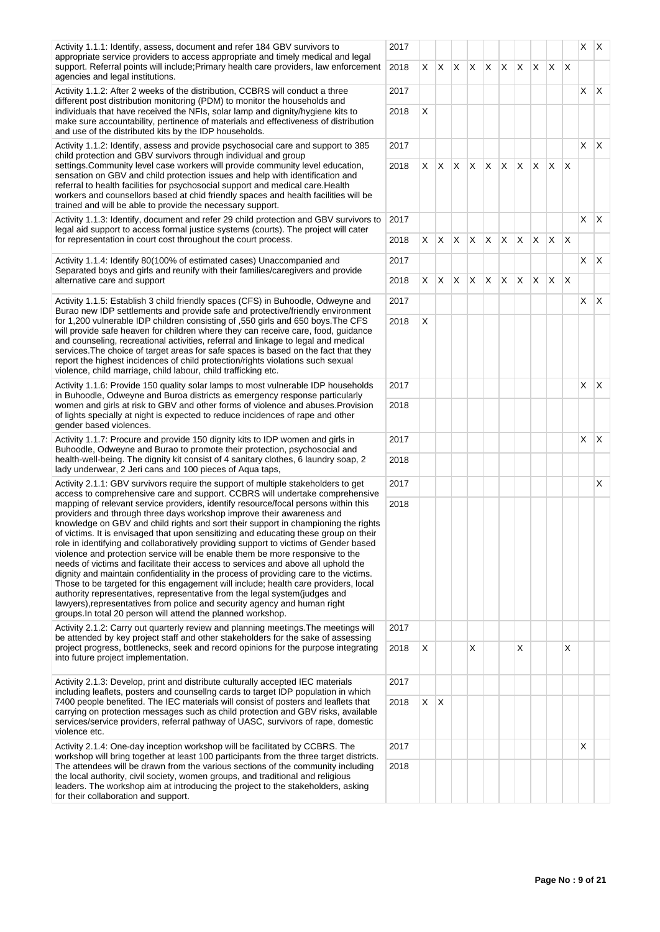| Activity 1.1.1: Identify, assess, document and refer 184 GBV survivors to<br>appropriate service providers to access appropriate and timely medical and legal                                                                                                                                                                                                                                                                                                                                                                                                                                                                                                                                                                                                                                                                                                                                                                                                                                                       |              |    |              |              |              |              |    |              |              |              |              |    | $x \mid x$ |
|---------------------------------------------------------------------------------------------------------------------------------------------------------------------------------------------------------------------------------------------------------------------------------------------------------------------------------------------------------------------------------------------------------------------------------------------------------------------------------------------------------------------------------------------------------------------------------------------------------------------------------------------------------------------------------------------------------------------------------------------------------------------------------------------------------------------------------------------------------------------------------------------------------------------------------------------------------------------------------------------------------------------|--------------|----|--------------|--------------|--------------|--------------|----|--------------|--------------|--------------|--------------|----|------------|
| support. Referral points will include; Primary health care providers, law enforcement<br>agencies and legal institutions.                                                                                                                                                                                                                                                                                                                                                                                                                                                                                                                                                                                                                                                                                                                                                                                                                                                                                           | 2018         |    | XX           | X            | X.           | X.           | X. | IX.          | X.           | X.           | $\mathsf{X}$ |    |            |
| Activity 1.1.2: After 2 weeks of the distribution, CCBRS will conduct a three<br>different post distribution monitoring (PDM) to monitor the households and                                                                                                                                                                                                                                                                                                                                                                                                                                                                                                                                                                                                                                                                                                                                                                                                                                                         | 2017         |    |              |              |              |              |    |              |              |              |              |    | $X \mid X$ |
| individuals that have received the NFIs, solar lamp and dignity/hygiene kits to<br>make sure accountability, pertinence of materials and effectiveness of distribution<br>and use of the distributed kits by the IDP households.                                                                                                                                                                                                                                                                                                                                                                                                                                                                                                                                                                                                                                                                                                                                                                                    | 2018         | X  |              |              |              |              |    |              |              |              |              |    |            |
| Activity 1.1.2: Identify, assess and provide psychosocial care and support to 385<br>child protection and GBV survivors through individual and group                                                                                                                                                                                                                                                                                                                                                                                                                                                                                                                                                                                                                                                                                                                                                                                                                                                                | 2017         |    |              |              |              |              |    |              |              |              |              | X. | X.         |
| settings. Community level case workers will provide community level education,<br>sensation on GBV and child protection issues and help with identification and<br>referral to health facilities for psychosocial support and medical care. Health<br>workers and counsellors based at chid friendly spaces and health facilities will be<br>trained and will be able to provide the necessary support.                                                                                                                                                                                                                                                                                                                                                                                                                                                                                                                                                                                                             | 2018         | X. | ΙX.          | $\mathsf{X}$ | $\mathsf{X}$ | X            | X. | X.           | $\mathsf{X}$ | X.           | $\times$     |    |            |
| Activity 1.1.3: Identify, document and refer 29 child protection and GBV survivors to<br>legal aid support to access formal justice systems (courts). The project will cater                                                                                                                                                                                                                                                                                                                                                                                                                                                                                                                                                                                                                                                                                                                                                                                                                                        | 2017         |    |              |              |              |              |    |              |              |              |              | X. | X.         |
| for representation in court cost throughout the court process.                                                                                                                                                                                                                                                                                                                                                                                                                                                                                                                                                                                                                                                                                                                                                                                                                                                                                                                                                      | 2018         | X. | $\mathsf{X}$ | $\mathsf{X}$ | X            | X            | X  | X.           | X.           | IX.          | $\mathsf{X}$ |    |            |
| Activity 1.1.4: Identify 80(100% of estimated cases) Unaccompanied and<br>Separated boys and girls and reunify with their families/caregivers and provide<br>alternative care and support                                                                                                                                                                                                                                                                                                                                                                                                                                                                                                                                                                                                                                                                                                                                                                                                                           | 2017<br>2018 |    | $X \mid X$   | X            | X.           | $\mathsf{X}$ | X. | $\mathsf{X}$ | X.           | $\mathsf{X}$ | $\mathsf{X}$ |    | $X \mid X$ |
|                                                                                                                                                                                                                                                                                                                                                                                                                                                                                                                                                                                                                                                                                                                                                                                                                                                                                                                                                                                                                     |              |    |              |              |              |              |    |              |              |              |              |    |            |
| Activity 1.1.5: Establish 3 child friendly spaces (CFS) in Buhoodle, Odweyne and<br>Burao new IDP settlements and provide safe and protective/friendly environment                                                                                                                                                                                                                                                                                                                                                                                                                                                                                                                                                                                                                                                                                                                                                                                                                                                  | 2017<br>2018 | X  |              |              |              |              |    |              |              |              |              |    | $X \mid X$ |
| for 1,200 vulnerable IDP children consisting of ,550 girls and 650 boys. The CFS<br>will provide safe heaven for children where they can receive care, food, guidance<br>and counseling, recreational activities, referral and linkage to legal and medical<br>services. The choice of target areas for safe spaces is based on the fact that they<br>report the highest incidences of child protection/rights violations such sexual<br>violence, child marriage, child labour, child trafficking etc.                                                                                                                                                                                                                                                                                                                                                                                                                                                                                                             |              |    |              |              |              |              |    |              |              |              |              |    |            |
| Activity 1.1.6: Provide 150 quality solar lamps to most vulnerable IDP households                                                                                                                                                                                                                                                                                                                                                                                                                                                                                                                                                                                                                                                                                                                                                                                                                                                                                                                                   | 2017         |    |              |              |              |              |    |              |              |              |              | X. | X.         |
| in Buhoodle, Odweyne and Buroa districts as emergency response particularly<br>women and girls at risk to GBV and other forms of violence and abuses. Provision<br>of lights specially at night is expected to reduce incidences of rape and other<br>gender based violences.                                                                                                                                                                                                                                                                                                                                                                                                                                                                                                                                                                                                                                                                                                                                       |              |    |              |              |              |              |    |              |              |              |              |    |            |
| Activity 1.1.7: Procure and provide 150 dignity kits to IDP women and girls in                                                                                                                                                                                                                                                                                                                                                                                                                                                                                                                                                                                                                                                                                                                                                                                                                                                                                                                                      |              |    |              |              |              |              |    |              |              |              |              | X  | X.         |
| Buhoodle, Odweyne and Burao to promote their protection, psychosocial and<br>health-well-being. The dignity kit consist of 4 sanitary clothes, 6 laundry soap, 2<br>lady underwear, 2 Jeri cans and 100 pieces of Aqua taps,                                                                                                                                                                                                                                                                                                                                                                                                                                                                                                                                                                                                                                                                                                                                                                                        | 2018         |    |              |              |              |              |    |              |              |              |              |    |            |
| Activity 2.1.1: GBV survivors require the support of multiple stakeholders to get<br>access to comprehensive care and support. CCBRS will undertake comprehensive                                                                                                                                                                                                                                                                                                                                                                                                                                                                                                                                                                                                                                                                                                                                                                                                                                                   | 2017         |    |              |              |              |              |    |              |              |              |              |    | X.         |
| mapping of relevant service providers, identify resource/focal persons within this<br>providers and through three days workshop improve their awareness and<br>knowledge on GBV and child rights and sort their support in championing the rights<br>of victims. It is envisaged that upon sensitizing and educating these group on their<br>role in identifying and collaboratively providing support to victims of Gender based<br>violence and protection service will be enable them be more responsive to the<br>needs of victims and facilitate their access to services and above all uphold the<br>dignity and maintain confidentiality in the process of providing care to the victims.<br>Those to be targeted for this engagement will include; health care providers, local<br>authority representatives, representative from the legal system (judges and<br>lawyers), representatives from police and security agency and human right<br>groups. In total 20 person will attend the planned workshop. | 2018         |    |              |              |              |              |    |              |              |              |              |    |            |
| Activity 2.1.2: Carry out quarterly review and planning meetings. The meetings will<br>be attended by key project staff and other stakeholders for the sake of assessing                                                                                                                                                                                                                                                                                                                                                                                                                                                                                                                                                                                                                                                                                                                                                                                                                                            | 2017         |    |              |              |              |              |    |              |              |              |              |    |            |
| project progress, bottlenecks, seek and record opinions for the purpose integrating<br>into future project implementation.                                                                                                                                                                                                                                                                                                                                                                                                                                                                                                                                                                                                                                                                                                                                                                                                                                                                                          | 2018         | X  |              |              | X            |              |    | X            |              |              | X            |    |            |
| Activity 2.1.3: Develop, print and distribute culturally accepted IEC materials<br>including leaflets, posters and counsellng cards to target IDP population in which                                                                                                                                                                                                                                                                                                                                                                                                                                                                                                                                                                                                                                                                                                                                                                                                                                               | 2017         |    |              |              |              |              |    |              |              |              |              |    |            |
| 7400 people benefited. The IEC materials will consist of posters and leaflets that<br>carrying on protection messages such as child protection and GBV risks, available<br>services/service providers, referral pathway of UASC, survivors of rape, domestic<br>violence etc.                                                                                                                                                                                                                                                                                                                                                                                                                                                                                                                                                                                                                                                                                                                                       | 2018         | X. | $\mathsf{X}$ |              |              |              |    |              |              |              |              |    |            |
| Activity 2.1.4: One-day inception workshop will be facilitated by CCBRS. The                                                                                                                                                                                                                                                                                                                                                                                                                                                                                                                                                                                                                                                                                                                                                                                                                                                                                                                                        | 2017         |    |              |              |              |              |    |              |              |              |              | X  |            |
| workshop will bring together at least 100 participants from the three target districts.<br>The attendees will be drawn from the various sections of the community including<br>the local authority, civil society, women groups, and traditional and religious<br>leaders. The workshop aim at introducing the project to the stakeholders, asking<br>for their collaboration and support.                                                                                                                                                                                                                                                                                                                                                                                                                                                                                                                                                                                                                          |              |    |              |              |              |              |    |              |              |              |              |    |            |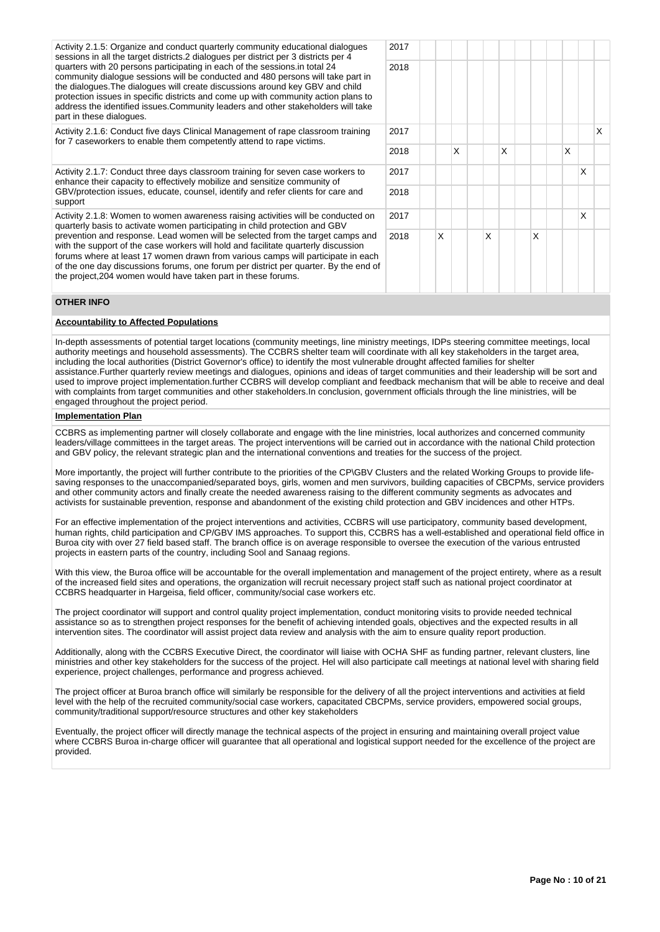Activity 2.1.5: Organize and conduct quarterly community educational dialogues sessions in all the target districts.2 dialogues per district per 3 districts per 4 quarters with 20 persons participating in each of the sessions.in total 24 community dialogue sessions will be conducted and 480 persons will take part in the dialogues.The dialogues will create discussions around key GBV and child protection issues in specific districts and come up with community action plans to address the identified issues.Community leaders and other stakeholders will take part in these dialogues.

Activity 2.1.6: Conduct five days Clinical Management of rape classroom training for 7 caseworkers to enable them competently attend to rape victims.

Activity 2.1.7: Conduct three days classroom training for seven case workers to enhance their capacity to effectively mobilize and sensitize community of GBV/protection issues, educate, counsel, identify and refer clients for care and support

Activity 2.1.8: Women to women awareness raising activities will be conducted on quarterly basis to activate women participating in child protection and GBV prevention and response. Lead women will be selected from the target camps and with the support of the case workers will hold and facilitate quarterly discussion forums where at least 17 women drawn from various camps will participate in each of the one day discussions forums, one forum per district per quarter. By the end of the project,204 women would have taken part in these forums.



# **OTHER INFO**

# **Accountability to Affected Populations**

In-depth assessments of potential target locations (community meetings, line ministry meetings, IDPs steering committee meetings, local authority meetings and household assessments). The CCBRS shelter team will coordinate with all key stakeholders in the target area, including the local authorities (District Governor's office) to identify the most vulnerable drought affected families for shelter assistance.Further quarterly review meetings and dialogues, opinions and ideas of target communities and their leadership will be sort and used to improve project implementation.further CCBRS will develop compliant and feedback mechanism that will be able to receive and deal with complaints from target communities and other stakeholders.In conclusion, government officials through the line ministries, will be engaged throughout the project period.

# **Implementation Plan**

CCBRS as implementing partner will closely collaborate and engage with the line ministries, local authorizes and concerned community leaders/village committees in the target areas. The project interventions will be carried out in accordance with the national Child protection and GBV policy, the relevant strategic plan and the international conventions and treaties for the success of the project.

More importantly, the project will further contribute to the priorities of the CP\GBV Clusters and the related Working Groups to provide lifesaving responses to the unaccompanied/separated boys, girls, women and men survivors, building capacities of CBCPMs, service providers and other community actors and finally create the needed awareness raising to the different community segments as advocates and activists for sustainable prevention, response and abandonment of the existing child protection and GBV incidences and other HTPs.

For an effective implementation of the project interventions and activities, CCBRS will use participatory, community based development, human rights, child participation and CP/GBV IMS approaches. To support this, CCBRS has a well-established and operational field office in Buroa city with over 27 field based staff. The branch office is on average responsible to oversee the execution of the various entrusted projects in eastern parts of the country, including Sool and Sanaag regions.

With this view, the Buroa office will be accountable for the overall implementation and management of the project entirety, where as a result of the increased field sites and operations, the organization will recruit necessary project staff such as national project coordinator at CCBRS headquarter in Hargeisa, field officer, community/social case workers etc.

The project coordinator will support and control quality project implementation, conduct monitoring visits to provide needed technical assistance so as to strengthen project responses for the benefit of achieving intended goals, objectives and the expected results in all intervention sites. The coordinator will assist project data review and analysis with the aim to ensure quality report production.

Additionally, along with the CCBRS Executive Direct, the coordinator will liaise with OCHA SHF as funding partner, relevant clusters, line ministries and other key stakeholders for the success of the project. Hel will also participate call meetings at national level with sharing field experience, project challenges, performance and progress achieved.

The project officer at Buroa branch office will similarly be responsible for the delivery of all the project interventions and activities at field level with the help of the recruited community/social case workers, capacitated CBCPMs, service providers, empowered social groups, community/traditional support/resource structures and other key stakeholders

Eventually, the project officer will directly manage the technical aspects of the project in ensuring and maintaining overall project value where CCBRS Buroa in-charge officer will guarantee that all operational and logistical support needed for the excellence of the project are provided.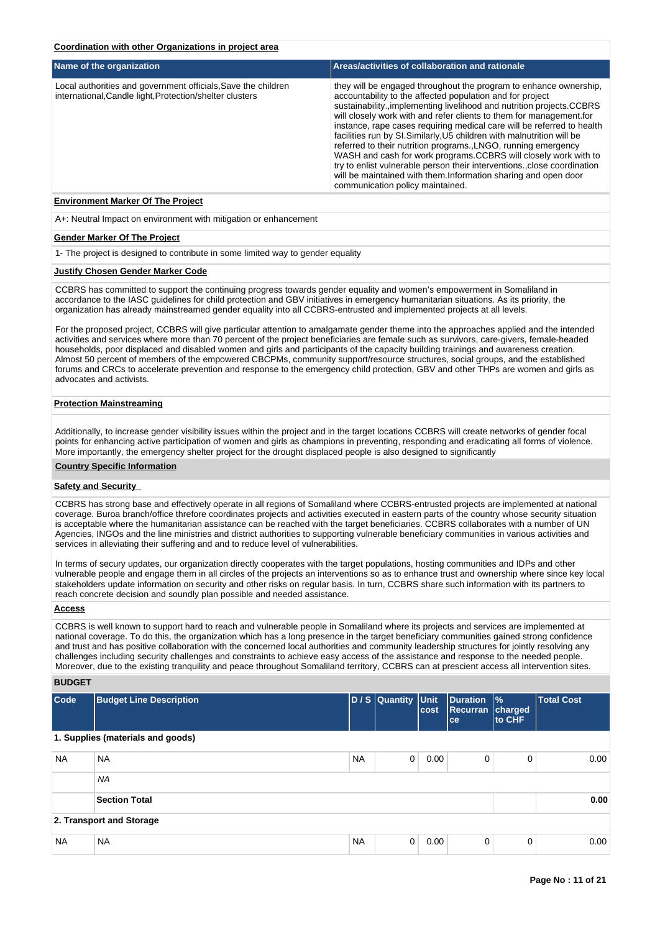|  | Coordination with other Organizations in proiect area |  |
|--|-------------------------------------------------------|--|
|  |                                                       |  |

| Name of the organization                                                                                                  | Areas/activities of collaboration and rationale                                                                                                                                                                                                                                                                                                                                                                                                                                                                                                                                                                                                                                                                                                         |
|---------------------------------------------------------------------------------------------------------------------------|---------------------------------------------------------------------------------------------------------------------------------------------------------------------------------------------------------------------------------------------------------------------------------------------------------------------------------------------------------------------------------------------------------------------------------------------------------------------------------------------------------------------------------------------------------------------------------------------------------------------------------------------------------------------------------------------------------------------------------------------------------|
| Local authorities and government officials, Save the children<br>international, Candle light, Protection/shelter clusters | they will be engaged throughout the program to enhance ownership,<br>accountability to the affected population and for project<br>sustainability., implementing livelihood and nutrition projects.CCBRS<br>will closely work with and refer clients to them for management.for<br>instance, rape cases requiring medical care will be referred to health<br>facilities run by SI. Similarly, U5 children with malnutrition will be<br>referred to their nutrition programs. LNGO, running emergency<br>WASH and cash for work programs.CCBRS will closely work with to<br>try to enlist vulnerable person their interventions. close coordination<br>will be maintained with them.Information sharing and open door<br>communication policy maintained. |

#### **Environment Marker Of The Project**

A+: Neutral Impact on environment with mitigation or enhancement

#### **Gender Marker Of The Project**

1- The project is designed to contribute in some limited way to gender equality

#### **Justify Chosen Gender Marker Code**

CCBRS has committed to support the continuing progress towards gender equality and women's empowerment in Somaliland in accordance to the IASC guidelines for child protection and GBV initiatives in emergency humanitarian situations. As its priority, the organization has already mainstreamed gender equality into all CCBRS-entrusted and implemented projects at all levels.

For the proposed project, CCBRS will give particular attention to amalgamate gender theme into the approaches applied and the intended activities and services where more than 70 percent of the project beneficiaries are female such as survivors, care-givers, female-headed households, poor displaced and disabled women and girls and participants of the capacity building trainings and awareness creation. Almost 50 percent of members of the empowered CBCPMs, community support/resource structures, social groups, and the established forums and CRCs to accelerate prevention and response to the emergency child protection, GBV and other THPs are women and girls as advocates and activists.

#### **Protection Mainstreaming**

Additionally, to increase gender visibility issues within the project and in the target locations CCBRS will create networks of gender focal points for enhancing active participation of women and girls as champions in preventing, responding and eradicating all forms of violence. More importantly, the emergency shelter project for the drought displaced people is also designed to significantly

#### **Country Specific Information**

# **Safety and Security**

CCBRS has strong base and effectively operate in all regions of Somaliland where CCBRS-entrusted projects are implemented at national coverage. Buroa branch/office threfore coordinates projects and activities executed in eastern parts of the country whose security situation is acceptable where the humanitarian assistance can be reached with the target beneficiaries. CCBRS collaborates with a number of UN Agencies, INGOs and the line ministries and district authorities to supporting vulnerable beneficiary communities in various activities and services in alleviating their suffering and and to reduce level of vulnerabilities.

In terms of secury updates, our organization directly cooperates with the target populations, hosting communities and IDPs and other vulnerable people and engage them in all circles of the projects an interventions so as to enhance trust and ownership where since key local stakeholders update information on security and other risks on regular basis. In turn, CCBRS share such information with its partners to reach concrete decision and soundly plan possible and needed assistance.

#### **Access**

CCBRS is well known to support hard to reach and vulnerable people in Somaliland where its projects and services are implemented at national coverage. To do this, the organization which has a long presence in the target beneficiary communities gained strong confidence and trust and has positive collaboration with the concerned local authorities and community leadership structures for jointly resolving any challenges including security challenges and constraints to achieve easy access of the assistance and response to the needed people. Moreover, due to the existing tranquility and peace throughout Somaliland territory, CCBRS can at prescient access all intervention sites.

# **BUDGET**

| Code      | <b>Budget Line Description</b>    |           | D / S Quantity Unit | cost | Duration<br><b>Recurran charged</b><br><sub>ce</sub> | $\frac{9}{6}$<br>to CHF | <b>Total Cost</b> |
|-----------|-----------------------------------|-----------|---------------------|------|------------------------------------------------------|-------------------------|-------------------|
|           | 1. Supplies (materials and goods) |           |                     |      |                                                      |                         |                   |
| <b>NA</b> | <b>NA</b>                         | <b>NA</b> | 0                   | 0.00 | 0                                                    | 0                       | 0.00              |
|           | <b>NA</b>                         |           |                     |      |                                                      |                         |                   |
|           | <b>Section Total</b>              |           |                     |      |                                                      |                         | 0.00              |
|           | 2. Transport and Storage          |           |                     |      |                                                      |                         |                   |
| <b>NA</b> | <b>NA</b>                         | <b>NA</b> | 0                   | 0.00 | 0                                                    | 0                       | 0.00              |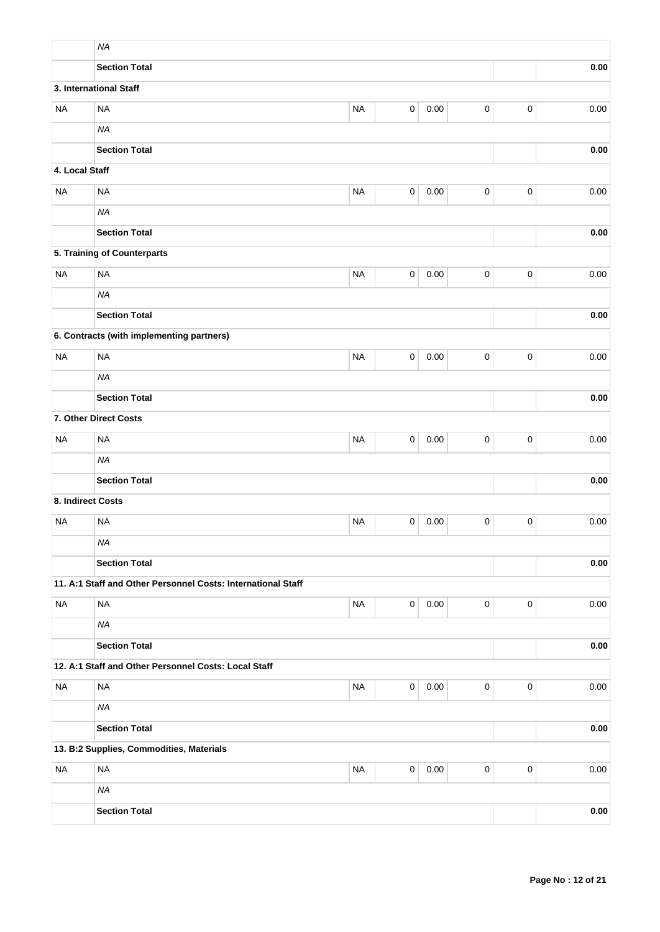|                   | <b>NA</b>                                                    |           |             |      |           |                     |          |  |
|-------------------|--------------------------------------------------------------|-----------|-------------|------|-----------|---------------------|----------|--|
|                   | <b>Section Total</b>                                         |           |             |      |           |                     | 0.00     |  |
|                   | 3. International Staff                                       |           |             |      |           |                     |          |  |
| <b>NA</b>         | <b>NA</b>                                                    | <b>NA</b> | 0           | 0.00 | $\pmb{0}$ | $\pmb{0}$           | 0.00     |  |
|                   | <b>NA</b>                                                    |           |             |      |           |                     |          |  |
|                   | <b>Section Total</b>                                         |           |             |      |           |                     | 0.00     |  |
| 4. Local Staff    |                                                              |           |             |      |           |                     |          |  |
| <b>NA</b>         | <b>NA</b>                                                    | <b>NA</b> | $\pmb{0}$   | 0.00 | $\pmb{0}$ | $\pmb{0}$           | 0.00     |  |
|                   | <b>NA</b>                                                    |           |             |      |           |                     |          |  |
|                   | <b>Section Total</b>                                         |           |             |      |           |                     | 0.00     |  |
|                   | 5. Training of Counterparts                                  |           |             |      |           |                     |          |  |
| <b>NA</b>         | <b>NA</b>                                                    | <b>NA</b> | 0           | 0.00 | $\pmb{0}$ | $\mathbf 0$         | $0.00\,$ |  |
|                   | <b>NA</b>                                                    |           |             |      |           |                     |          |  |
|                   | <b>Section Total</b>                                         |           |             |      |           |                     | 0.00     |  |
|                   | 6. Contracts (with implementing partners)                    |           |             |      |           |                     |          |  |
| <b>NA</b>         | <b>NA</b>                                                    | <b>NA</b> | 0           | 0.00 | 0         | $\pmb{0}$           | 0.00     |  |
|                   | <b>NA</b>                                                    |           |             |      |           |                     |          |  |
|                   | <b>Section Total</b><br>0.00                                 |           |             |      |           |                     |          |  |
|                   | 7. Other Direct Costs                                        |           |             |      |           |                     |          |  |
| <b>NA</b>         | <b>NA</b>                                                    | <b>NA</b> | 0           | 0.00 | $\pmb{0}$ | $\pmb{0}$           | 0.00     |  |
|                   | <b>NA</b>                                                    |           |             |      |           |                     |          |  |
|                   | <b>Section Total</b>                                         |           |             |      |           |                     | 0.00     |  |
| 8. Indirect Costs |                                                              |           |             |      |           |                     |          |  |
| <b>NA</b>         | <b>NA</b>                                                    | <b>NA</b> | 0           | 0.00 | 0         | $\mathbf 0$         | 0.00     |  |
|                   | <b>NA</b>                                                    |           |             |      |           |                     |          |  |
|                   | <b>Section Total</b>                                         |           |             |      |           |                     | 0.00     |  |
|                   | 11. A:1 Staff and Other Personnel Costs: International Staff |           |             |      |           |                     |          |  |
| <b>NA</b>         | <b>NA</b>                                                    | <b>NA</b> | $\mathsf 0$ | 0.00 | $\pmb{0}$ | $\mathbf 0$         | 0.00     |  |
|                   | <b>NA</b>                                                    |           |             |      |           |                     |          |  |
|                   | <b>Section Total</b>                                         |           |             |      |           |                     | 0.00     |  |
|                   | 12. A:1 Staff and Other Personnel Costs: Local Staff         |           |             |      |           |                     |          |  |
| <b>NA</b>         | $\sf NA$                                                     | <b>NA</b> | $\mathsf 0$ | 0.00 | $\pmb{0}$ | $\mathsf{O}\xspace$ | 0.00     |  |
|                   | <b>NA</b>                                                    |           |             |      |           |                     |          |  |
|                   | <b>Section Total</b>                                         |           |             |      |           |                     | 0.00     |  |
|                   | 13. B:2 Supplies, Commodities, Materials                     |           |             |      |           |                     |          |  |
| <b>NA</b>         | <b>NA</b>                                                    | <b>NA</b> | $\mathsf 0$ | 0.00 | 0         | $\mathbf 0$         | 0.00     |  |
|                   | <b>NA</b>                                                    |           |             |      |           |                     |          |  |
|                   | <b>Section Total</b>                                         |           |             |      |           |                     | 0.00     |  |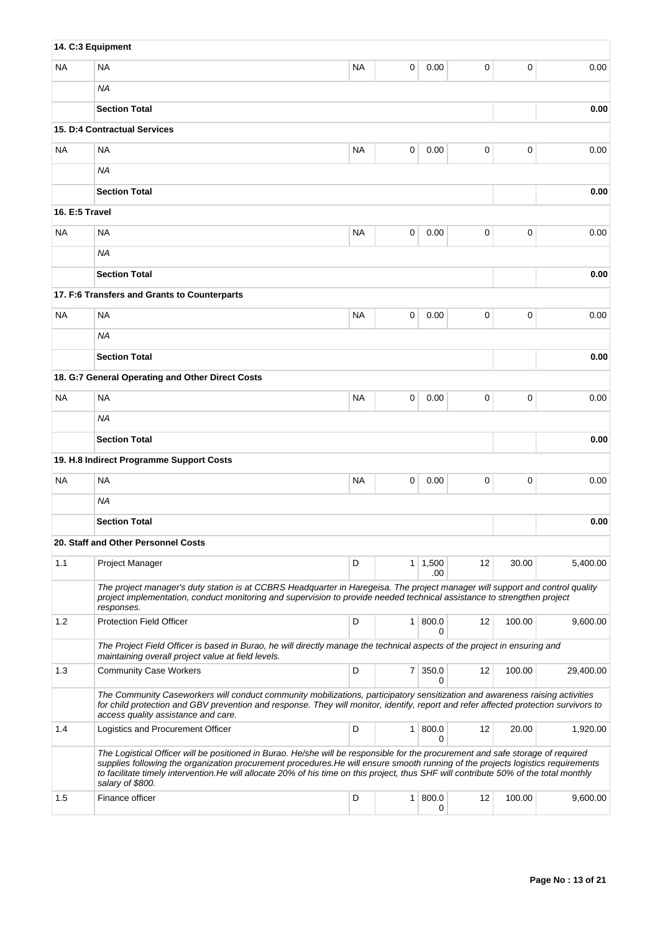|                | 14. C:3 Equipment                                                                                                                                                                                                                                                                                                                                                                                                                 |           |                |                       |    |        |           |
|----------------|-----------------------------------------------------------------------------------------------------------------------------------------------------------------------------------------------------------------------------------------------------------------------------------------------------------------------------------------------------------------------------------------------------------------------------------|-----------|----------------|-----------------------|----|--------|-----------|
| ΝA             | <b>NA</b>                                                                                                                                                                                                                                                                                                                                                                                                                         | <b>NA</b> | 0              | 0.00                  | 0  | 0      | 0.00      |
|                | ΝA                                                                                                                                                                                                                                                                                                                                                                                                                                |           |                |                       |    |        |           |
|                | <b>Section Total</b>                                                                                                                                                                                                                                                                                                                                                                                                              |           |                |                       |    |        | 0.00      |
|                | <b>15. D:4 Contractual Services</b>                                                                                                                                                                                                                                                                                                                                                                                               |           |                |                       |    |        |           |
| <b>NA</b>      | <b>NA</b>                                                                                                                                                                                                                                                                                                                                                                                                                         | <b>NA</b> | 0              | 0.00                  | 0  | 0      | 0.00      |
|                | <b>NA</b>                                                                                                                                                                                                                                                                                                                                                                                                                         |           |                |                       |    |        |           |
|                | <b>Section Total</b>                                                                                                                                                                                                                                                                                                                                                                                                              |           |                |                       |    |        | 0.00      |
| 16. E:5 Travel |                                                                                                                                                                                                                                                                                                                                                                                                                                   |           |                |                       |    |        |           |
| <b>NA</b>      | <b>NA</b>                                                                                                                                                                                                                                                                                                                                                                                                                         | <b>NA</b> | 0              | 0.00                  | 0  | 0      | 0.00      |
|                | <b>NA</b>                                                                                                                                                                                                                                                                                                                                                                                                                         |           |                |                       |    |        |           |
|                | <b>Section Total</b>                                                                                                                                                                                                                                                                                                                                                                                                              |           |                |                       |    |        | 0.00      |
|                | 17. F:6 Transfers and Grants to Counterparts                                                                                                                                                                                                                                                                                                                                                                                      |           |                |                       |    |        |           |
| NA             | <b>NA</b>                                                                                                                                                                                                                                                                                                                                                                                                                         | <b>NA</b> | 0              | 0.00                  | 0  | 0      | 0.00      |
|                | <b>NA</b>                                                                                                                                                                                                                                                                                                                                                                                                                         |           |                |                       |    |        |           |
|                | <b>Section Total</b>                                                                                                                                                                                                                                                                                                                                                                                                              |           |                |                       |    |        | 0.00      |
|                | 18. G:7 General Operating and Other Direct Costs                                                                                                                                                                                                                                                                                                                                                                                  |           |                |                       |    |        |           |
| NA             | <b>NA</b>                                                                                                                                                                                                                                                                                                                                                                                                                         | <b>NA</b> | 0              | 0.00                  | 0  | 0      | 0.00      |
|                | ΝA                                                                                                                                                                                                                                                                                                                                                                                                                                |           |                |                       |    |        |           |
|                | <b>Section Total</b>                                                                                                                                                                                                                                                                                                                                                                                                              |           |                |                       |    |        | 0.00      |
|                | 19. H.8 Indirect Programme Support Costs                                                                                                                                                                                                                                                                                                                                                                                          |           |                |                       |    |        |           |
| <b>NA</b>      | <b>NA</b>                                                                                                                                                                                                                                                                                                                                                                                                                         | <b>NA</b> | 0              | 0.00                  | 0  | 0      | 0.00      |
|                | <b>NA</b>                                                                                                                                                                                                                                                                                                                                                                                                                         |           |                |                       |    |        |           |
|                | <b>Section Total</b>                                                                                                                                                                                                                                                                                                                                                                                                              |           |                |                       |    |        | 0.00      |
|                | 20. Staff and Other Personnel Costs                                                                                                                                                                                                                                                                                                                                                                                               |           |                |                       |    |        |           |
| 1.1            | <b>Project Manager</b>                                                                                                                                                                                                                                                                                                                                                                                                            | D         |                | $1 \mid 1,500$<br>.00 | 12 | 30.00  | 5,400.00  |
|                | The project manager's duty station is at CCBRS Headquarter in Haregeisa. The project manager will support and control quality<br>project implementation, conduct monitoring and supervision to provide needed technical assistance to strengthen project<br>responses.                                                                                                                                                            |           |                |                       |    |        |           |
| 1.2            | <b>Protection Field Officer</b>                                                                                                                                                                                                                                                                                                                                                                                                   | D         | 1 <sup>1</sup> | 800.0<br>0            | 12 | 100.00 | 9,600.00  |
|                | The Project Field Officer is based in Burao, he will directly manage the technical aspects of the project in ensuring and<br>maintaining overall project value at field levels.                                                                                                                                                                                                                                                   |           |                |                       |    |        |           |
| 1.3            | <b>Community Case Workers</b>                                                                                                                                                                                                                                                                                                                                                                                                     | D         | 7 <sup>1</sup> | 350.0<br>0            | 12 | 100.00 | 29,400.00 |
|                | The Community Caseworkers will conduct community mobilizations, participatory sensitization and awareness raising activities<br>for child protection and GBV prevention and response. They will monitor, identify, report and refer affected protection survivors to<br>access quality assistance and care.                                                                                                                       |           |                |                       |    |        |           |
| 1.4            | Logistics and Procurement Officer                                                                                                                                                                                                                                                                                                                                                                                                 | D         |                | 1   800.0<br>0        | 12 | 20.00  | 1,920.00  |
|                | The Logistical Officer will be positioned in Burao. He/she will be responsible for the procurement and safe storage of required<br>supplies following the organization procurement procedures. He will ensure smooth running of the projects logistics requirements<br>to facilitate timely intervention. He will allocate 20% of his time on this project, thus SHF will contribute 50% of the total monthly<br>salary of \$800. |           |                |                       |    |        |           |
| 1.5            | Finance officer                                                                                                                                                                                                                                                                                                                                                                                                                   | D         | 1 <sup>1</sup> | 800.0<br>0            | 12 | 100.00 | 9,600.00  |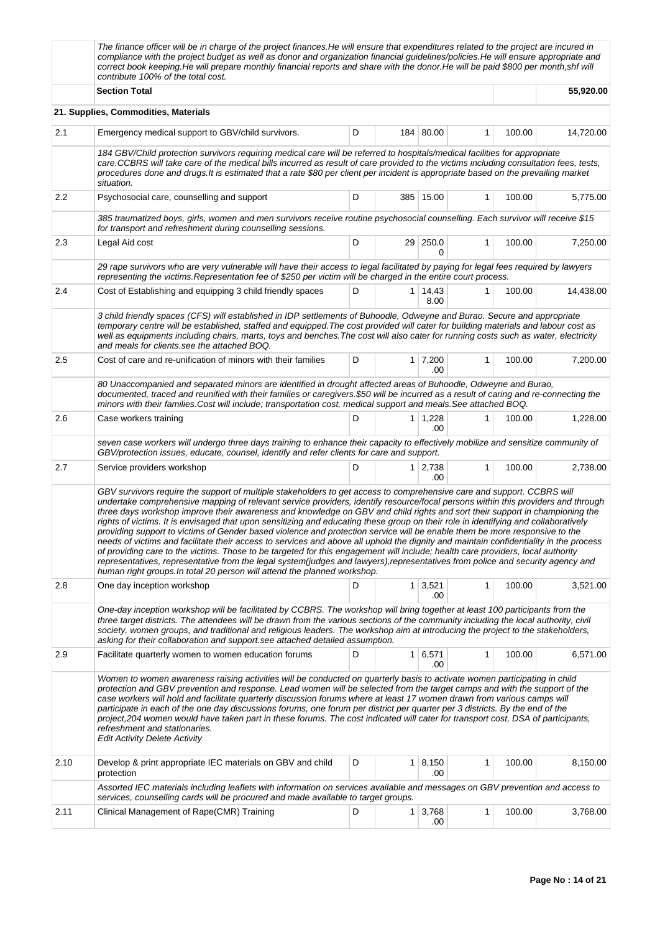|         | The finance officer will be in charge of the project finances. He will ensure that expenditures related to the project are incured in<br>compliance with the project budget as well as donor and organization financial guidelines/policies. He will ensure appropriate and<br>correct book keeping. He will prepare monthly financial reports and share with the donor. He will be paid \$800 per month, shf will<br>contribute 100% of the total cost.                                                                                                                                                                                                                                                                                                                                                                                                                                                                                                                                                                                                                                                                                                 |   |                |                        |              |        |           |  |  |  |
|---------|----------------------------------------------------------------------------------------------------------------------------------------------------------------------------------------------------------------------------------------------------------------------------------------------------------------------------------------------------------------------------------------------------------------------------------------------------------------------------------------------------------------------------------------------------------------------------------------------------------------------------------------------------------------------------------------------------------------------------------------------------------------------------------------------------------------------------------------------------------------------------------------------------------------------------------------------------------------------------------------------------------------------------------------------------------------------------------------------------------------------------------------------------------|---|----------------|------------------------|--------------|--------|-----------|--|--|--|
|         | <b>Section Total</b>                                                                                                                                                                                                                                                                                                                                                                                                                                                                                                                                                                                                                                                                                                                                                                                                                                                                                                                                                                                                                                                                                                                                     |   |                |                        |              |        |           |  |  |  |
|         | 21. Supplies, Commodities, Materials                                                                                                                                                                                                                                                                                                                                                                                                                                                                                                                                                                                                                                                                                                                                                                                                                                                                                                                                                                                                                                                                                                                     |   |                |                        |              |        |           |  |  |  |
| 2.1     | Emergency medical support to GBV/child survivors.                                                                                                                                                                                                                                                                                                                                                                                                                                                                                                                                                                                                                                                                                                                                                                                                                                                                                                                                                                                                                                                                                                        | D |                | 184 80.00              | 1            | 100.00 | 14,720.00 |  |  |  |
|         | 184 GBV/Child protection survivors requiring medical care will be referred to hospitals/medical facilities for appropriate<br>care.CCBRS will take care of the medical bills incurred as result of care provided to the victims including consultation fees, tests,<br>procedures done and drugs. It is estimated that a rate \$80 per client per incident is appropriate based on the prevailing market<br>situation.                                                                                                                                                                                                                                                                                                                                                                                                                                                                                                                                                                                                                                                                                                                                   |   |                |                        |              |        |           |  |  |  |
| $2.2\,$ | Psychosocial care, counselling and support                                                                                                                                                                                                                                                                                                                                                                                                                                                                                                                                                                                                                                                                                                                                                                                                                                                                                                                                                                                                                                                                                                               | D |                | 385 15.00              | 1            | 100.00 | 5,775.00  |  |  |  |
|         | 385 traumatized boys, girls, women and men survivors receive routine psychosocial counselling. Each survivor will receive \$15<br>for transport and refreshment during counselling sessions.                                                                                                                                                                                                                                                                                                                                                                                                                                                                                                                                                                                                                                                                                                                                                                                                                                                                                                                                                             |   |                |                        |              |        |           |  |  |  |
| 2.3     | Legal Aid cost                                                                                                                                                                                                                                                                                                                                                                                                                                                                                                                                                                                                                                                                                                                                                                                                                                                                                                                                                                                                                                                                                                                                           | D |                | 29 250.0<br>0          | 1            | 100.00 | 7,250.00  |  |  |  |
|         | 29 rape survivors who are very vulnerable will have their access to legal facilitated by paying for legal fees required by lawyers<br>representing the victims. Representation fee of \$250 per victim will be charged in the entire court process.                                                                                                                                                                                                                                                                                                                                                                                                                                                                                                                                                                                                                                                                                                                                                                                                                                                                                                      |   |                |                        |              |        |           |  |  |  |
| 2.4     | Cost of Establishing and equipping 3 child friendly spaces                                                                                                                                                                                                                                                                                                                                                                                                                                                                                                                                                                                                                                                                                                                                                                                                                                                                                                                                                                                                                                                                                               | D |                | 1 14,43<br>8.00        | $\mathbf{1}$ | 100.00 | 14,438.00 |  |  |  |
|         | 3 child friendly spaces (CFS) will established in IDP settlements of Buhoodle, Odweyne and Burao. Secure and appropriate<br>temporary centre will be established, staffed and equipped. The cost provided will cater for building materials and labour cost as<br>well as equipments including chairs, marts, toys and benches. The cost will also cater for running costs such as water, electricity<br>and meals for clients see the attached BOQ.                                                                                                                                                                                                                                                                                                                                                                                                                                                                                                                                                                                                                                                                                                     |   |                |                        |              |        |           |  |  |  |
| 2.5     | Cost of care and re-unification of minors with their families                                                                                                                                                                                                                                                                                                                                                                                                                                                                                                                                                                                                                                                                                                                                                                                                                                                                                                                                                                                                                                                                                            | D |                | $1 \mid 7,200$<br>.00. | 1            | 100.00 | 7,200.00  |  |  |  |
|         | 80 Unaccompanied and separated minors are identified in drought affected areas of Buhoodle, Odweyne and Burao,<br>documented, traced and reunified with their families or caregivers.\$50 will be incurred as a result of caring and re-connecting the<br>minors with their families.Cost will include; transportation cost, medical support and meals.See attached BOQ.                                                                                                                                                                                                                                                                                                                                                                                                                                                                                                                                                                                                                                                                                                                                                                                 |   |                |                        |              |        |           |  |  |  |
| 2.6     | Case workers training                                                                                                                                                                                                                                                                                                                                                                                                                                                                                                                                                                                                                                                                                                                                                                                                                                                                                                                                                                                                                                                                                                                                    | D |                | $1 \mid 1,228$<br>.00  | 1            | 100.00 | 1,228.00  |  |  |  |
|         | seven case workers will undergo three days training to enhance their capacity to effectively mobilize and sensitize community of<br>GBV/protection issues, educate, counsel, identify and refer clients for care and support.                                                                                                                                                                                                                                                                                                                                                                                                                                                                                                                                                                                                                                                                                                                                                                                                                                                                                                                            |   |                |                        |              |        |           |  |  |  |
| 2.7     | Service providers workshop                                                                                                                                                                                                                                                                                                                                                                                                                                                                                                                                                                                                                                                                                                                                                                                                                                                                                                                                                                                                                                                                                                                               | D |                | $1 \mid 2,738$<br>.00. | 1            | 100.00 | 2,738.00  |  |  |  |
|         | GBV survivors require the support of multiple stakeholders to get access to comprehensive care and support. CCBRS will<br>undertake comprehensive mapping of relevant service providers, identify resource/focal persons within this providers and through<br>three days workshop improve their awareness and knowledge on GBV and child rights and sort their support in championing the<br>rights of victims. It is envisaged that upon sensitizing and educating these group on their role in identifying and collaboratively<br>providing support to victims of Gender based violence and protection service will be enable them be more responsive to the<br>needs of victims and facilitate their access to services and above all uphold the dignity and maintain confidentiality in the process<br>of providing care to the victims. Those to be targeted for this engagement will include; health care providers, local authority<br>representatives, representative from the legal system(judges and lawyers), representatives from police and security agency and<br>human right groups. In total 20 person will attend the planned workshop. |   |                |                        |              |        |           |  |  |  |
| 2.8     | One day inception workshop                                                                                                                                                                                                                                                                                                                                                                                                                                                                                                                                                                                                                                                                                                                                                                                                                                                                                                                                                                                                                                                                                                                               | D |                | $1 \mid 3,521$<br>.00  | 1            | 100.00 | 3,521.00  |  |  |  |
|         | One-day inception workshop will be facilitated by CCBRS. The workshop will bring together at least 100 participants from the<br>three target districts. The attendees will be drawn from the various sections of the community including the local authority, civil<br>society, women groups, and traditional and religious leaders. The workshop aim at introducing the project to the stakeholders,<br>asking for their collaboration and support see attached detailed assumption.                                                                                                                                                                                                                                                                                                                                                                                                                                                                                                                                                                                                                                                                    |   |                |                        |              |        |           |  |  |  |
| 2.9     | Facilitate quarterly women to women education forums                                                                                                                                                                                                                                                                                                                                                                                                                                                                                                                                                                                                                                                                                                                                                                                                                                                                                                                                                                                                                                                                                                     | D | 1              | 6,571<br>.00           | 1            | 100.00 | 6,571.00  |  |  |  |
|         | Women to women awareness raising activities will be conducted on quarterly basis to activate women participating in child<br>protection and GBV prevention and response. Lead women will be selected from the target camps and with the support of the<br>case workers will hold and facilitate quarterly discussion forums where at least 17 women drawn from various camps will<br>participate in each of the one day discussions forums, one forum per district per quarter per 3 districts. By the end of the<br>project,204 women would have taken part in these forums. The cost indicated will cater for transport cost, DSA of participants,<br>refreshment and stationaries.<br><b>Edit Activity Delete Activity</b>                                                                                                                                                                                                                                                                                                                                                                                                                            |   |                |                        |              |        |           |  |  |  |
| 2.10    | Develop & print appropriate IEC materials on GBV and child<br>protection                                                                                                                                                                                                                                                                                                                                                                                                                                                                                                                                                                                                                                                                                                                                                                                                                                                                                                                                                                                                                                                                                 | D |                | 1   8,150<br>.00       | $\mathbf{1}$ | 100.00 | 8,150.00  |  |  |  |
|         | Assorted IEC materials including leaflets with information on services available and messages on GBV prevention and access to<br>services, counselling cards will be procured and made available to target groups.                                                                                                                                                                                                                                                                                                                                                                                                                                                                                                                                                                                                                                                                                                                                                                                                                                                                                                                                       |   |                |                        |              |        |           |  |  |  |
| 2.11    | Clinical Management of Rape(CMR) Training                                                                                                                                                                                                                                                                                                                                                                                                                                                                                                                                                                                                                                                                                                                                                                                                                                                                                                                                                                                                                                                                                                                | D | 1 <sup>1</sup> | 3,768<br>.00           | 1            | 100.00 | 3,768.00  |  |  |  |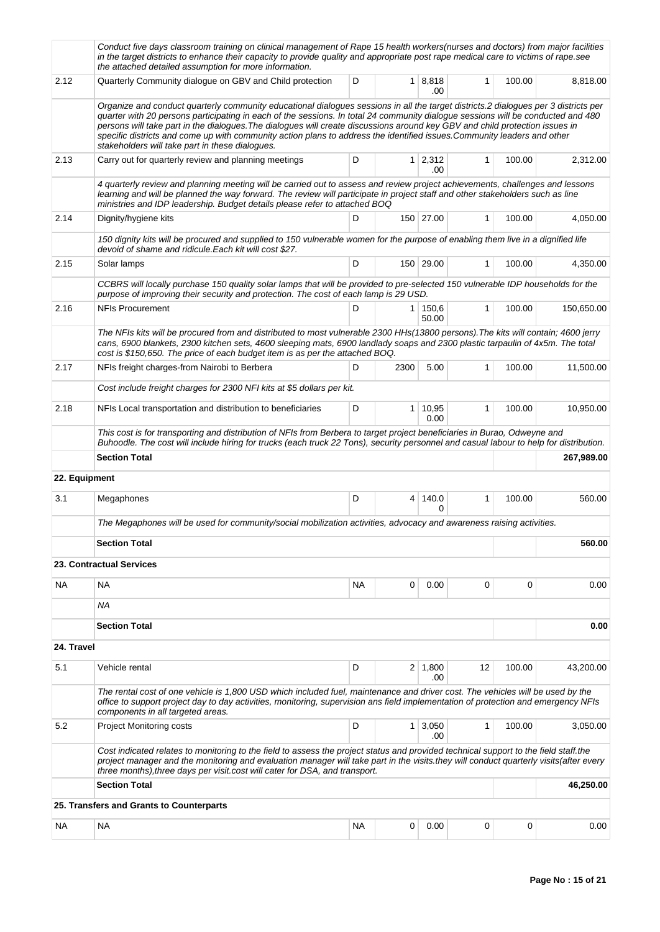|               | Conduct five days classroom training on clinical management of Rape 15 health workers(nurses and doctors) from major facilities<br>in the target districts to enhance their capacity to provide quality and appropriate post rape medical care to victims of rape.see<br>the attached detailed assumption for more information.                                                                                                                                                                                                                                                        |           |                |                       |              |        |            |  |
|---------------|----------------------------------------------------------------------------------------------------------------------------------------------------------------------------------------------------------------------------------------------------------------------------------------------------------------------------------------------------------------------------------------------------------------------------------------------------------------------------------------------------------------------------------------------------------------------------------------|-----------|----------------|-----------------------|--------------|--------|------------|--|
| 2.12          | D<br>1   8,818<br>Quarterly Community dialogue on GBV and Child protection<br>$\mathbf{1}$<br>100.00<br>.00                                                                                                                                                                                                                                                                                                                                                                                                                                                                            |           |                |                       |              |        |            |  |
|               | Organize and conduct quarterly community educational dialogues sessions in all the target districts.2 dialogues per 3 districts per<br>quarter with 20 persons participating in each of the sessions. In total 24 community dialogue sessions will be conducted and 480<br>persons will take part in the dialogues. The dialogues will create discussions around key GBV and child protection issues in<br>specific districts and come up with community action plans to address the identified issues. Community leaders and other<br>stakeholders will take part in these dialogues. |           |                |                       |              |        |            |  |
| 2.13          | Carry out for quarterly review and planning meetings                                                                                                                                                                                                                                                                                                                                                                                                                                                                                                                                   | D         |                | $1 \mid 2,312$<br>.00 | $\mathbf{1}$ | 100.00 | 2,312.00   |  |
|               | 4 quarterly review and planning meeting will be carried out to assess and review project achievements, challenges and lessons<br>learning and will be planned the way forward. The review will participate in project staff and other stakeholders such as line<br>ministries and IDP leadership. Budget details please refer to attached BOQ                                                                                                                                                                                                                                          |           |                |                       |              |        |            |  |
| 2.14          | Dignity/hygiene kits                                                                                                                                                                                                                                                                                                                                                                                                                                                                                                                                                                   | D         |                | 150 27.00             | $\mathbf{1}$ | 100.00 | 4,050.00   |  |
|               | 150 dignity kits will be procured and supplied to 150 vulnerable women for the purpose of enabling them live in a dignified life<br>devoid of shame and ridicule. Each kit will cost \$27.                                                                                                                                                                                                                                                                                                                                                                                             |           |                |                       |              |        |            |  |
| 2.15          | Solar lamps                                                                                                                                                                                                                                                                                                                                                                                                                                                                                                                                                                            | D         |                | 150 29.00             | $\mathbf{1}$ | 100.00 | 4,350.00   |  |
|               | CCBRS will locally purchase 150 quality solar lamps that will be provided to pre-selected 150 vulnerable IDP households for the<br>purpose of improving their security and protection. The cost of each lamp is 29 USD.                                                                                                                                                                                                                                                                                                                                                                |           |                |                       |              |        |            |  |
| 2.16          | <b>NFIs Procurement</b>                                                                                                                                                                                                                                                                                                                                                                                                                                                                                                                                                                | D         |                | 1 150.6<br>50.00      | $\mathbf{1}$ | 100.00 | 150,650.00 |  |
|               | The NFIs kits will be procured from and distributed to most vulnerable 2300 HHs(13800 persons). The kits will contain; 4600 jerry<br>cans, 6900 blankets, 2300 kitchen sets, 4600 sleeping mats, 6900 landlady soaps and 2300 plastic tarpaulin of 4x5m. The total<br>cost is \$150,650. The price of each budget item is as per the attached BOQ.                                                                                                                                                                                                                                     |           |                |                       |              |        |            |  |
| 2.17          | NFIs freight charges-from Nairobi to Berbera                                                                                                                                                                                                                                                                                                                                                                                                                                                                                                                                           | D         | 2300           | 5.00                  | $\mathbf{1}$ | 100.00 | 11,500.00  |  |
|               | Cost include freight charges for 2300 NFI kits at \$5 dollars per kit.                                                                                                                                                                                                                                                                                                                                                                                                                                                                                                                 |           |                |                       |              |        |            |  |
| 2.18          | NFIs Local transportation and distribution to beneficiaries                                                                                                                                                                                                                                                                                                                                                                                                                                                                                                                            | D         | 1              | 10,95<br>0.00         | 1            | 100.00 | 10,950.00  |  |
|               | This cost is for transporting and distribution of NFIs from Berbera to target project beneficiaries in Burao, Odweyne and<br>Buhoodle. The cost will include hiring for trucks (each truck 22 Tons), security personnel and casual labour to help for distribution.                                                                                                                                                                                                                                                                                                                    |           |                |                       |              |        |            |  |
|               | <b>Section Total</b>                                                                                                                                                                                                                                                                                                                                                                                                                                                                                                                                                                   |           |                |                       |              |        | 267,989.00 |  |
| 22. Equipment |                                                                                                                                                                                                                                                                                                                                                                                                                                                                                                                                                                                        |           |                |                       |              |        |            |  |
| 3.1           | Megaphones                                                                                                                                                                                                                                                                                                                                                                                                                                                                                                                                                                             | D         | $\overline{4}$ | 140.0<br>0            | 1            | 100.00 | 560.00     |  |
|               | The Megaphones will be used for community/social mobilization activities, advocacy and awareness raising activities.                                                                                                                                                                                                                                                                                                                                                                                                                                                                   |           |                |                       |              |        |            |  |
|               | <b>Section Total</b>                                                                                                                                                                                                                                                                                                                                                                                                                                                                                                                                                                   |           |                |                       |              |        | 560.00     |  |
|               | 23. Contractual Services                                                                                                                                                                                                                                                                                                                                                                                                                                                                                                                                                               |           |                |                       |              |        |            |  |
| NA            | NA                                                                                                                                                                                                                                                                                                                                                                                                                                                                                                                                                                                     | NA        | 0              | 0.00                  | 0            | 0      | 0.00       |  |
|               | ΝA                                                                                                                                                                                                                                                                                                                                                                                                                                                                                                                                                                                     |           |                |                       |              |        |            |  |
|               | <b>Section Total</b>                                                                                                                                                                                                                                                                                                                                                                                                                                                                                                                                                                   |           |                |                       |              |        | 0.00       |  |
| 24. Travel    |                                                                                                                                                                                                                                                                                                                                                                                                                                                                                                                                                                                        |           |                |                       |              |        |            |  |
| 5.1           | Vehicle rental                                                                                                                                                                                                                                                                                                                                                                                                                                                                                                                                                                         | D         |                | $2 \mid 1,800$<br>.00 | 12           | 100.00 | 43,200.00  |  |
|               | The rental cost of one vehicle is 1,800 USD which included fuel, maintenance and driver cost. The vehicles will be used by the<br>office to support project day to day activities, monitoring, supervision ans field implementation of protection and emergency NFIs<br>components in all targeted areas.                                                                                                                                                                                                                                                                              |           |                |                       |              |        |            |  |
| 5.2           | <b>Project Monitoring costs</b>                                                                                                                                                                                                                                                                                                                                                                                                                                                                                                                                                        | D         | 1 <sup>1</sup> | 3,050<br>.00          | $\mathbf{1}$ | 100.00 | 3,050.00   |  |
|               | Cost indicated relates to monitoring to the field to assess the project status and provided technical support to the field staff.the<br>project manager and the monitoring and evaluation manager will take part in the visits they will conduct quarterly visits (after every<br>three months), three days per visit cost will cater for DSA, and transport.                                                                                                                                                                                                                          |           |                |                       |              |        |            |  |
|               | <b>Section Total</b>                                                                                                                                                                                                                                                                                                                                                                                                                                                                                                                                                                   |           |                |                       |              |        | 46,250.00  |  |
|               | 25. Transfers and Grants to Counterparts                                                                                                                                                                                                                                                                                                                                                                                                                                                                                                                                               |           |                |                       |              |        |            |  |
| NA            | NA                                                                                                                                                                                                                                                                                                                                                                                                                                                                                                                                                                                     | <b>NA</b> | 0              | 0.00                  | 0            | 0      | 0.00       |  |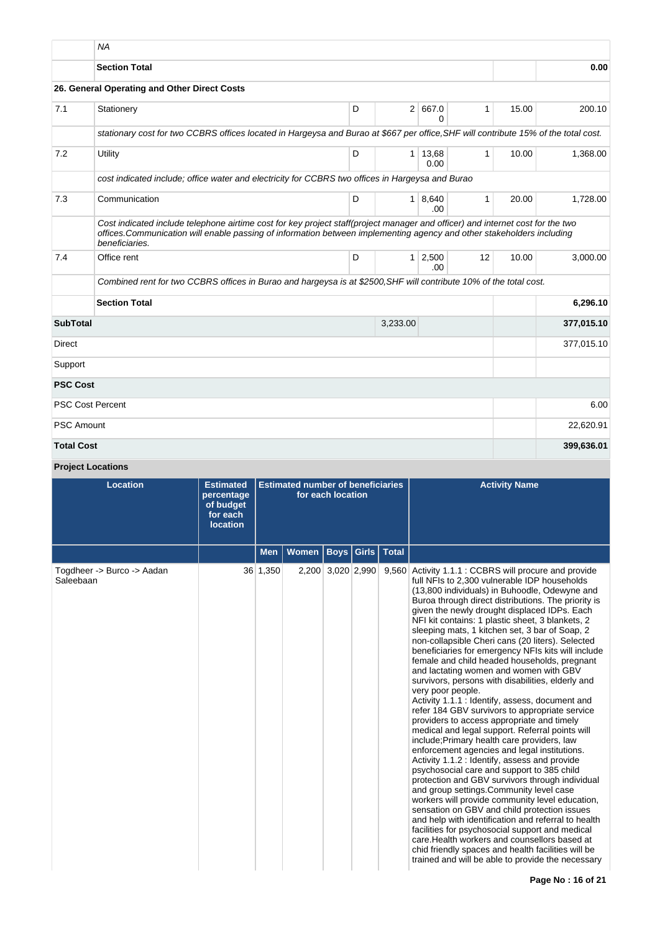|                   | <b>NA</b>                                                                                                                                                                                                                                                                  |   |                |                        |              |       |            |
|-------------------|----------------------------------------------------------------------------------------------------------------------------------------------------------------------------------------------------------------------------------------------------------------------------|---|----------------|------------------------|--------------|-------|------------|
|                   | <b>Section Total</b>                                                                                                                                                                                                                                                       |   |                |                        |              |       | 0.00       |
|                   | 26. General Operating and Other Direct Costs                                                                                                                                                                                                                               |   |                |                        |              |       |            |
| 7.1               | Stationery                                                                                                                                                                                                                                                                 | D | 2 <sup>1</sup> | 667.0<br>0             | 1            | 15.00 | 200.10     |
|                   | stationary cost for two CCBRS offices located in Hargeysa and Burao at \$667 per office, SHF will contribute 15% of the total cost.                                                                                                                                        |   |                |                        |              |       |            |
| 7.2               | Utility                                                                                                                                                                                                                                                                    | D |                | $1 \mid 13,68$<br>0.00 | $\mathbf{1}$ | 10.00 | 1,368.00   |
|                   | cost indicated include; office water and electricity for CCBRS two offices in Hargeysa and Burao                                                                                                                                                                           |   |                |                        |              |       |            |
| 7.3               | Communication                                                                                                                                                                                                                                                              | D | 1 <sup>1</sup> | 8,640<br>.00.          | $\mathbf{1}$ | 20.00 | 1,728.00   |
|                   | Cost indicated include telephone airtime cost for key project staff(project manager and officer) and internet cost for the two<br>offices. Communication will enable passing of information between implementing agency and other stakeholders including<br>beneficiaries. |   |                |                        |              |       |            |
| 7.4               | Office rent                                                                                                                                                                                                                                                                | D | 1              | 2,500<br>.00.          | 12           | 10.00 | 3.000.00   |
|                   | Combined rent for two CCBRS offices in Burao and hargeysa is at \$2500, SHF will contribute 10% of the total cost.                                                                                                                                                         |   |                |                        |              |       |            |
|                   | <b>Section Total</b>                                                                                                                                                                                                                                                       |   |                |                        |              |       | 6,296.10   |
| <b>SubTotal</b>   |                                                                                                                                                                                                                                                                            |   | 3,233.00       |                        |              |       | 377,015.10 |
| <b>Direct</b>     |                                                                                                                                                                                                                                                                            |   |                |                        |              |       | 377,015.10 |
| Support           |                                                                                                                                                                                                                                                                            |   |                |                        |              |       |            |
| <b>PSC Cost</b>   |                                                                                                                                                                                                                                                                            |   |                |                        |              |       |            |
|                   | <b>PSC Cost Percent</b>                                                                                                                                                                                                                                                    |   |                |                        |              |       | 6.00       |
| <b>PSC Amount</b> |                                                                                                                                                                                                                                                                            |   |                |                        |              |       | 22,620.91  |
| <b>Total Cost</b> |                                                                                                                                                                                                                                                                            |   |                |                        |              |       | 399,636.01 |

# **Project Locations**

| <b>Location</b>                         | <b>Estimated</b><br>percentage<br>of budget<br>for each<br><b>location</b> |          | <b>Estimated number of beneficiaries</b> | for each location |       |              | <b>Activity Name</b>                                                                                                                                                                                                                                                                                                                                                                                                                                                                                                                                                                                                                                                                                                                                                                                                                                                                                                                                                                                                                                                                                                                                                                                                                                                                                                                                                                                                                                                                                                          |
|-----------------------------------------|----------------------------------------------------------------------------|----------|------------------------------------------|-------------------|-------|--------------|-------------------------------------------------------------------------------------------------------------------------------------------------------------------------------------------------------------------------------------------------------------------------------------------------------------------------------------------------------------------------------------------------------------------------------------------------------------------------------------------------------------------------------------------------------------------------------------------------------------------------------------------------------------------------------------------------------------------------------------------------------------------------------------------------------------------------------------------------------------------------------------------------------------------------------------------------------------------------------------------------------------------------------------------------------------------------------------------------------------------------------------------------------------------------------------------------------------------------------------------------------------------------------------------------------------------------------------------------------------------------------------------------------------------------------------------------------------------------------------------------------------------------------|
|                                         |                                                                            | Men      | Women                                    | <b>Boys</b>       | Girls | <b>Total</b> |                                                                                                                                                                                                                                                                                                                                                                                                                                                                                                                                                                                                                                                                                                                                                                                                                                                                                                                                                                                                                                                                                                                                                                                                                                                                                                                                                                                                                                                                                                                               |
| Togdheer -> Burco -> Aadan<br>Saleebaan |                                                                            | 36 1,350 |                                          | 2,200 3,020 2,990 |       |              | 9,560 Activity 1.1.1 : CCBRS will procure and provide<br>full NFIs to 2,300 vulnerable IDP households<br>(13,800 individuals) in Buhoodle, Odewyne and<br>Buroa through direct distributions. The priority is<br>given the newly drought displaced IDPs. Each<br>NFI kit contains: 1 plastic sheet, 3 blankets, 2<br>sleeping mats, 1 kitchen set, 3 bar of Soap, 2<br>non-collapsible Cheri cans (20 liters). Selected<br>beneficiaries for emergency NFIs kits will include<br>female and child headed households, pregnant<br>and lactating women and women with GBV<br>survivors, persons with disabilities, elderly and<br>very poor people.<br>Activity 1.1.1 : Identify, assess, document and<br>refer 184 GBV survivors to appropriate service<br>providers to access appropriate and timely<br>medical and legal support. Referral points will<br>include; Primary health care providers, law<br>enforcement agencies and legal institutions.<br>Activity 1.1.2 : Identify, assess and provide<br>psychosocial care and support to 385 child<br>protection and GBV survivors through individual<br>and group settings. Community level case<br>workers will provide community level education,<br>sensation on GBV and child protection issues<br>and help with identification and referral to health<br>facilities for psychosocial support and medical<br>care. Health workers and counsellors based at<br>chid friendly spaces and health facilities will be<br>trained and will be able to provide the necessary |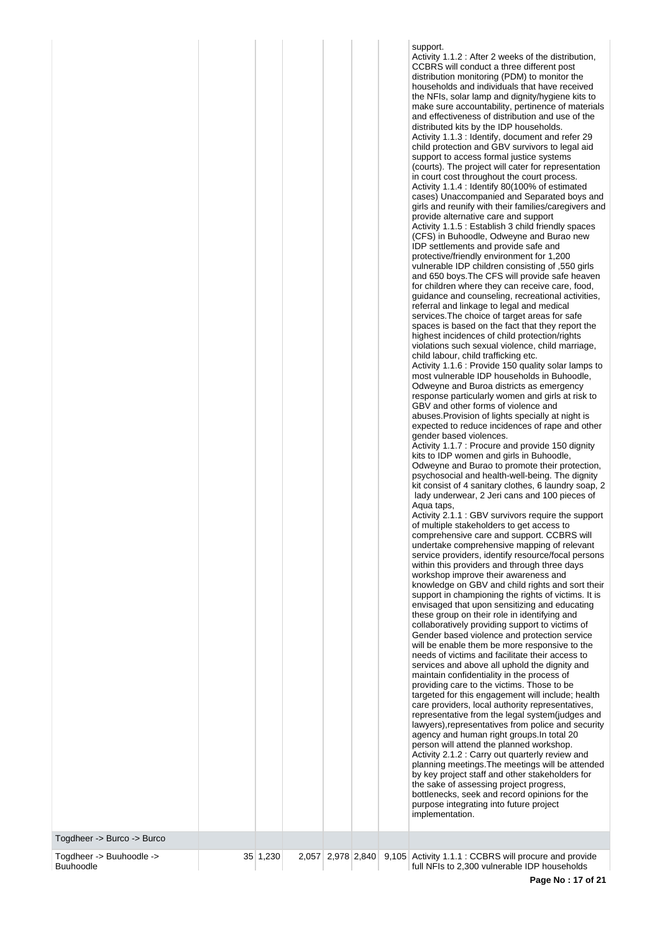|                                                                                                                       | Activity 2.1.2 : Carry out quarterly review and<br>planning meetings. The meetings will be attended<br>by key project staff and other stakeholders for<br>the sake of assessing project progress,<br>bottlenecks, seek and record opinions for the<br>purpose integrating into future project<br>implementation.<br>Togdheer -> Burco -> Burco |
|-----------------------------------------------------------------------------------------------------------------------|------------------------------------------------------------------------------------------------------------------------------------------------------------------------------------------------------------------------------------------------------------------------------------------------------------------------------------------------|
| Togdheer -> Buuhoodle -><br>2,978 2,840<br>35 1,230<br>2,057<br>9,105 Activity 1.1.1 : CCBRS will procure and provide |                                                                                                                                                                                                                                                                                                                                                |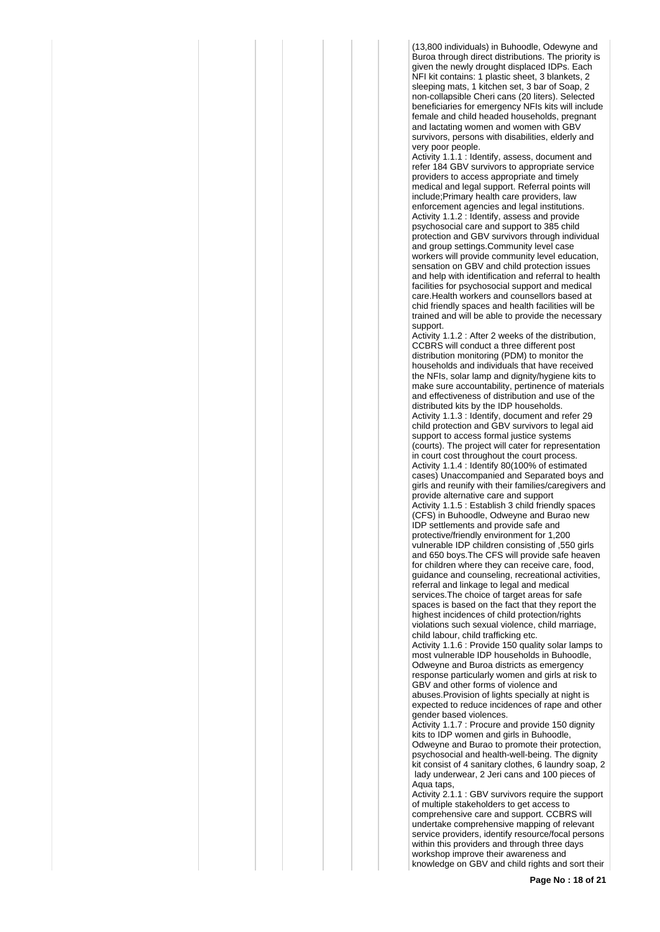(13,800 individuals) in Buhoodle, Odewyne and Buroa through direct distributions. The priority is given the newly drought displaced IDPs. Each NFI kit contains: 1 plastic sheet, 3 blankets, 2 sleeping mats, 1 kitchen set, 3 bar of Soap, 2 non-collapsible Cheri cans (20 liters). Selected beneficiaries for emergency NFIs kits will include female and child headed households, pregnant and lactating women and women with GBV survivors, persons with disabilities, elderly and very poor people.

Activity 1.1.1 : Identify, assess, document and refer 184 GBV survivors to appropriate service providers to access appropriate and timely medical and legal support. Referral points will include;Primary health care providers, law enforcement agencies and legal institutions. Activity 1.1.2 : Identify, assess and provide psychosocial care and support to 385 child protection and GBV survivors through individual and group settings.Community level case workers will provide community level education, sensation on GBV and child protection issues and help with identification and referral to health facilities for psychosocial support and medical care.Health workers and counsellors based at chid friendly spaces and health facilities will be trained and will be able to provide the necessary support.

Activity 1.1.2 : After 2 weeks of the distribution, CCBRS will conduct a three different post distribution monitoring (PDM) to monitor the households and individuals that have received the NFIs, solar lamp and dignity/hygiene kits to make sure accountability, pertinence of materials and effectiveness of distribution and use of the distributed kits by the IDP households. Activity 1.1.3 : Identify, document and refer 29 child protection and GBV survivors to legal aid support to access formal justice systems (courts). The project will cater for representation in court cost throughout the court process. Activity 1.1.4 : Identify 80(100% of estimated cases) Unaccompanied and Separated boys and girls and reunify with their families/caregivers and provide alternative care and support Activity 1.1.5 : Establish 3 child friendly spaces (CFS) in Buhoodle, Odweyne and Burao new IDP settlements and provide safe and protective/friendly environment for 1,200 vulnerable IDP children consisting of ,550 girls and 650 boys.The CFS will provide safe heaven for children where they can receive care, food, guidance and counseling, recreational activities, referral and linkage to legal and medical services.The choice of target areas for safe spaces is based on the fact that they report the highest incidences of child protection/rights violations such sexual violence, child marriage, child labour, child trafficking etc.

Activity 1.1.6 : Provide 150 quality solar lamps to most vulnerable IDP households in Buhoodle, Odweyne and Buroa districts as emergency response particularly women and girls at risk to GBV and other forms of violence and abuses.Provision of lights specially at night is expected to reduce incidences of rape and other gender based violences.

Activity 1.1.7 : Procure and provide 150 dignity kits to IDP women and girls in Buhoodle, Odweyne and Burao to promote their protection, psychosocial and health-well-being. The dignity kit consist of 4 sanitary clothes, 6 laundry soap, 2 lady underwear, 2 Jeri cans and 100 pieces of Aqua taps,

Activity 2.1.1 : GBV survivors require the support of multiple stakeholders to get access to comprehensive care and support. CCBRS will undertake comprehensive mapping of relevant service providers, identify resource/focal persons within this providers and through three days workshop improve their awareness and knowledge on GBV and child rights and sort their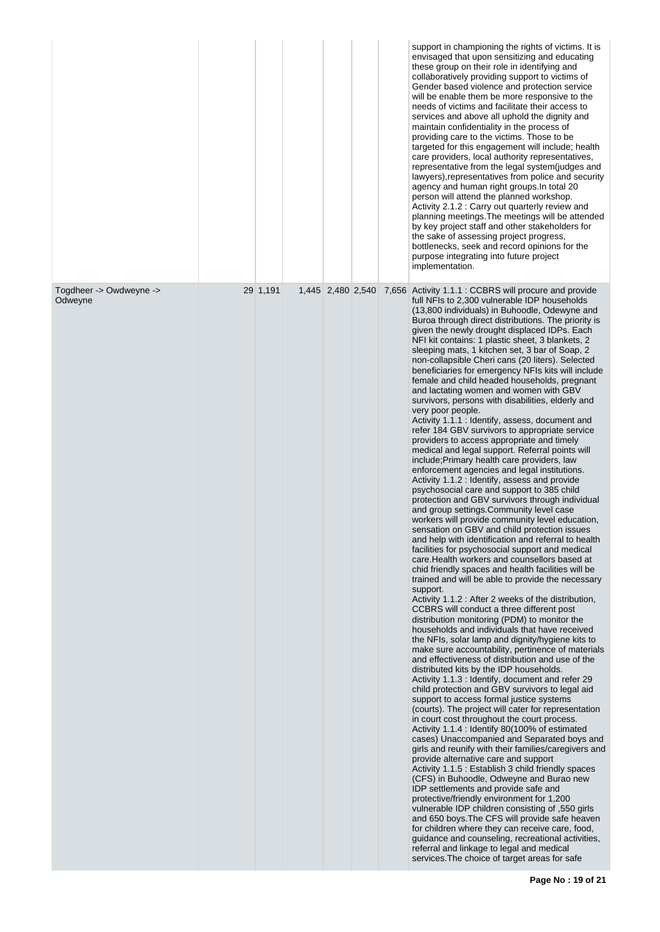|                                    |          |                   |  | support in championing the rights of victims. It is<br>envisaged that upon sensitizing and educating<br>these group on their role in identifying and<br>collaboratively providing support to victims of<br>Gender based violence and protection service<br>will be enable them be more responsive to the<br>needs of victims and facilitate their access to<br>services and above all uphold the dignity and<br>maintain confidentiality in the process of<br>providing care to the victims. Those to be<br>targeted for this engagement will include; health<br>care providers, local authority representatives,<br>representative from the legal system(judges and<br>lawyers), representatives from police and security<br>agency and human right groups. In total 20<br>person will attend the planned workshop.<br>Activity 2.1.2 : Carry out quarterly review and<br>planning meetings. The meetings will be attended<br>by key project staff and other stakeholders for<br>the sake of assessing project progress,<br>bottlenecks, seek and record opinions for the<br>purpose integrating into future project<br>implementation.                                                                                                                                                                                                                                                                                                                                                                                                                                                                                                                                                                                                                                                                                                                                                                                                                                                                                                                                                                                                                                                                                                                                                                                                                                                                                                                                                                                                                                                                                                                                                                                                                                                                                                                                                                            |
|------------------------------------|----------|-------------------|--|---------------------------------------------------------------------------------------------------------------------------------------------------------------------------------------------------------------------------------------------------------------------------------------------------------------------------------------------------------------------------------------------------------------------------------------------------------------------------------------------------------------------------------------------------------------------------------------------------------------------------------------------------------------------------------------------------------------------------------------------------------------------------------------------------------------------------------------------------------------------------------------------------------------------------------------------------------------------------------------------------------------------------------------------------------------------------------------------------------------------------------------------------------------------------------------------------------------------------------------------------------------------------------------------------------------------------------------------------------------------------------------------------------------------------------------------------------------------------------------------------------------------------------------------------------------------------------------------------------------------------------------------------------------------------------------------------------------------------------------------------------------------------------------------------------------------------------------------------------------------------------------------------------------------------------------------------------------------------------------------------------------------------------------------------------------------------------------------------------------------------------------------------------------------------------------------------------------------------------------------------------------------------------------------------------------------------------------------------------------------------------------------------------------------------------------------------------------------------------------------------------------------------------------------------------------------------------------------------------------------------------------------------------------------------------------------------------------------------------------------------------------------------------------------------------------------------------------------------------------------------------------------------------------------|
| Togdheer -> Owdweyne -><br>Odweyne | 29 1,191 | 1,445 2,480 2,540 |  | 7,656 Activity 1.1.1 : CCBRS will procure and provide<br>full NFIs to 2,300 vulnerable IDP households<br>(13,800 individuals) in Buhoodle, Odewyne and<br>Buroa through direct distributions. The priority is<br>given the newly drought displaced IDPs. Each<br>NFI kit contains: 1 plastic sheet, 3 blankets, 2<br>sleeping mats, 1 kitchen set, 3 bar of Soap, 2<br>non-collapsible Cheri cans (20 liters). Selected<br>beneficiaries for emergency NFIs kits will include<br>female and child headed households, pregnant<br>and lactating women and women with GBV<br>survivors, persons with disabilities, elderly and<br>very poor people.<br>Activity 1.1.1 : Identify, assess, document and<br>refer 184 GBV survivors to appropriate service<br>providers to access appropriate and timely<br>medical and legal support. Referral points will<br>include; Primary health care providers, law<br>enforcement agencies and legal institutions.<br>Activity 1.1.2 : Identify, assess and provide<br>psychosocial care and support to 385 child<br>protection and GBV survivors through individual<br>and group settings. Community level case<br>workers will provide community level education,<br>sensation on GBV and child protection issues<br>and help with identification and referral to health<br>facilities for psychosocial support and medical<br>care. Health workers and counsellors based at<br>chid friendly spaces and health facilities will be<br>trained and will be able to provide the necessary<br>support.<br>Activity 1.1.2 : After 2 weeks of the distribution,<br>CCBRS will conduct a three different post<br>distribution monitoring (PDM) to monitor the<br>households and individuals that have received<br>the NFIs, solar lamp and dignity/hygiene kits to<br>make sure accountability, pertinence of materials<br>and effectiveness of distribution and use of the<br>distributed kits by the IDP households.<br>Activity 1.1.3 : Identify, document and refer 29<br>child protection and GBV survivors to legal aid<br>support to access formal justice systems<br>(courts). The project will cater for representation<br>in court cost throughout the court process.<br>Activity 1.1.4 : Identify 80(100% of estimated<br>cases) Unaccompanied and Separated boys and<br>girls and reunify with their families/caregivers and<br>provide alternative care and support<br>Activity 1.1.5 : Establish 3 child friendly spaces<br>(CFS) in Buhoodle, Odweyne and Burao new<br>IDP settlements and provide safe and<br>protective/friendly environment for 1,200<br>vulnerable IDP children consisting of ,550 girls<br>and 650 boys. The CFS will provide safe heaven<br>for children where they can receive care, food,<br>guidance and counseling, recreational activities,<br>referral and linkage to legal and medical<br>services. The choice of target areas for safe |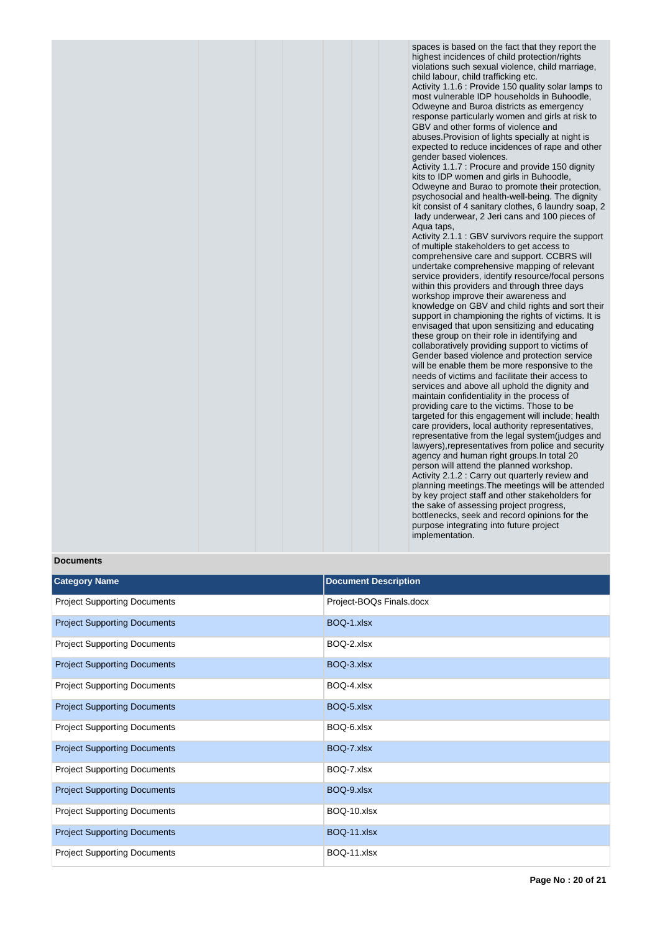spaces is based on the fact that they report the highest incidences of child protection/rights violations such sexual violence, child marriage, child labour, child trafficking etc. Activity 1.1.6 : Provide 150 quality solar lamps to most vulnerable IDP households in Buhoodle, Odweyne and Buroa districts as emergency response particularly women and girls at risk to GBV and other forms of violence and abuses.Provision of lights specially at night is expected to reduce incidences of rape and other gender based violences.

Activity 1.1.7 : Procure and provide 150 dignity kits to IDP women and girls in Buhoodle, Odweyne and Burao to promote their protection, psychosocial and health-well-being. The dignity kit consist of 4 sanitary clothes, 6 laundry soap, 2 lady underwear, 2 Jeri cans and 100 pieces of Aqua taps,

Activity 2.1.1 : GBV survivors require the support of multiple stakeholders to get access to comprehensive care and support. CCBRS will undertake comprehensive mapping of relevant service providers, identify resource/focal persons within this providers and through three days workshop improve their awareness and knowledge on GBV and child rights and sort their support in championing the rights of victims. It is envisaged that upon sensitizing and educating these group on their role in identifying and collaboratively providing support to victims of Gender based violence and protection service will be enable them be more responsive to the needs of victims and facilitate their access to services and above all uphold the dignity and maintain confidentiality in the process of providing care to the victims. Those to be targeted for this engagement will include; health care providers, local authority representatives, representative from the legal system(judges and lawyers),representatives from police and security agency and human right groups.In total 20 person will attend the planned workshop. Activity 2.1.2 : Carry out quarterly review and planning meetings.The meetings will be attended by key project staff and other stakeholders for the sake of assessing project progress, bottlenecks, seek and record opinions for the purpose integrating into future project implementation.

#### **Documents**

| <b>Category Name</b>                | <b>Document Description</b> |
|-------------------------------------|-----------------------------|
| <b>Project Supporting Documents</b> | Project-BOQs Finals.docx    |
| <b>Project Supporting Documents</b> | BOQ-1.xlsx                  |
| <b>Project Supporting Documents</b> | BOQ-2.xlsx                  |
| <b>Project Supporting Documents</b> | BOQ-3.xlsx                  |
| <b>Project Supporting Documents</b> | BOQ-4.xlsx                  |
| <b>Project Supporting Documents</b> | BOQ-5.xlsx                  |
| <b>Project Supporting Documents</b> | BOQ-6.xlsx                  |
| <b>Project Supporting Documents</b> | BOQ-7.xlsx                  |
| <b>Project Supporting Documents</b> | BOQ-7.xlsx                  |
| <b>Project Supporting Documents</b> | BOQ-9.xlsx                  |
| <b>Project Supporting Documents</b> | BOQ-10.xlsx                 |
| <b>Project Supporting Documents</b> | BOQ-11.xlsx                 |
| <b>Project Supporting Documents</b> | BOQ-11.xlsx                 |